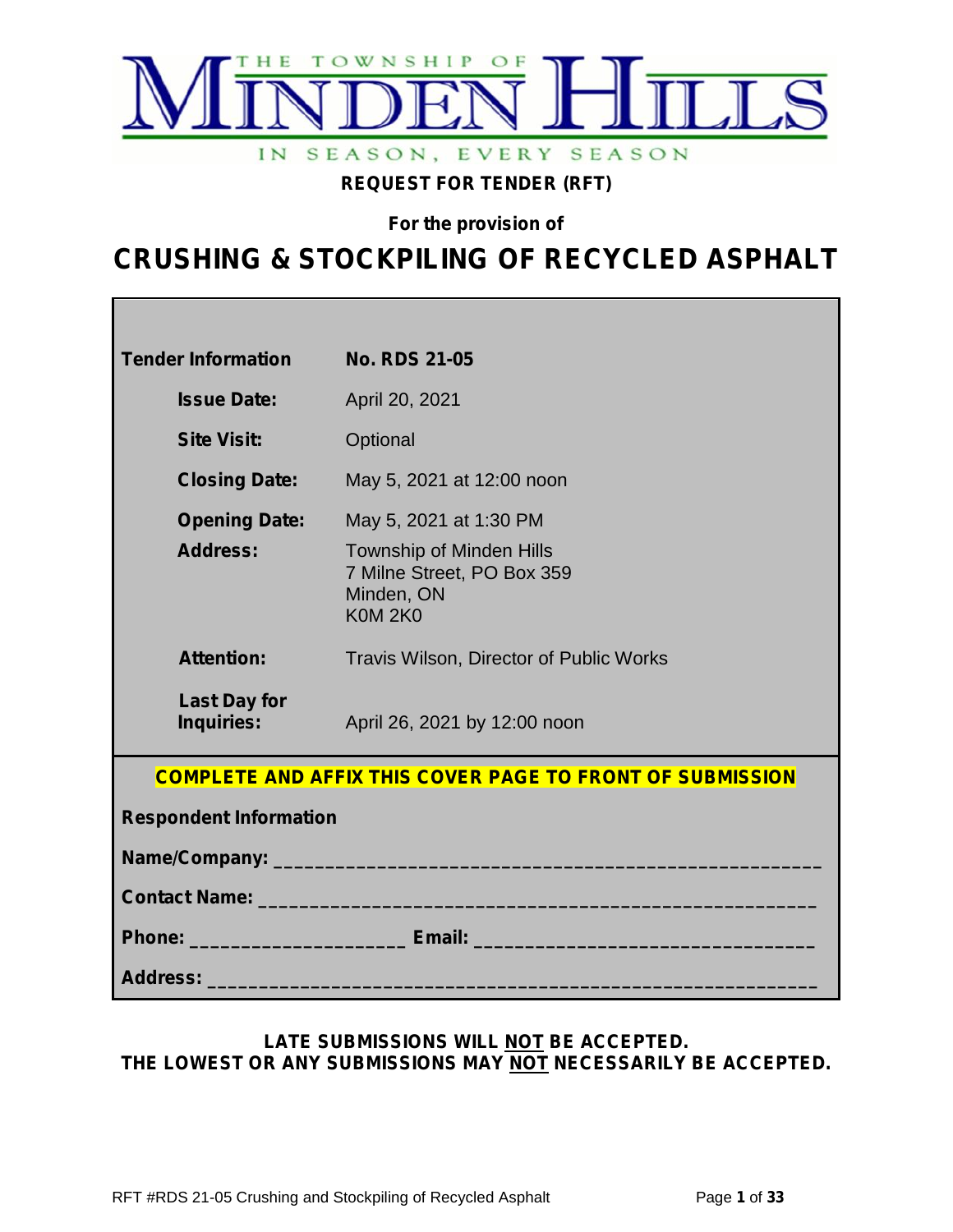

**REQUEST FOR TENDER (RFT)**

**For the provision of**

# **CRUSHING & STOCKPILING OF RECYCLED ASPHALT**

| <b>Tender Information</b>                        | <b>No. RDS 21-05</b>                                                                                                                                                                                                           |  |
|--------------------------------------------------|--------------------------------------------------------------------------------------------------------------------------------------------------------------------------------------------------------------------------------|--|
| <b>Issue Date:</b>                               | April 20, 2021                                                                                                                                                                                                                 |  |
| <b>Site Visit:</b>                               | Optional                                                                                                                                                                                                                       |  |
| <b>Closing Date:</b>                             | May 5, 2021 at 12:00 noon                                                                                                                                                                                                      |  |
| <b>Opening Date:</b>                             | May 5, 2021 at 1:30 PM                                                                                                                                                                                                         |  |
| <b>Address:</b>                                  | <b>Township of Minden Hills</b><br>7 Milne Street, PO Box 359<br>Minden, ON<br><b>K0M 2K0</b>                                                                                                                                  |  |
| <b>Attention:</b>                                | Travis Wilson, Director of Public Works                                                                                                                                                                                        |  |
| <b>Last Day for</b><br>Inquiries: <b>Algebra</b> | April 26, 2021 by 12:00 noon                                                                                                                                                                                                   |  |
|                                                  | <b>COMPLETE AND AFFIX THIS COVER PAGE TO FRONT OF SUBMISSION</b>                                                                                                                                                               |  |
| <b>Respondent Information</b>                    |                                                                                                                                                                                                                                |  |
|                                                  |                                                                                                                                                                                                                                |  |
|                                                  | Contact Name: Name: Name and South Art and South Art and South Art and South Art and South Art and South Art and Art and Art and Art and Art and Art and Art and Art and Art and Art and Art and Art and Art and Art and Art a |  |
|                                                  |                                                                                                                                                                                                                                |  |
|                                                  |                                                                                                                                                                                                                                |  |

#### **LATE SUBMISSIONS WILL NOT BE ACCEPTED. THE LOWEST OR ANY SUBMISSIONS MAY NOT NECESSARILY BE ACCEPTED.**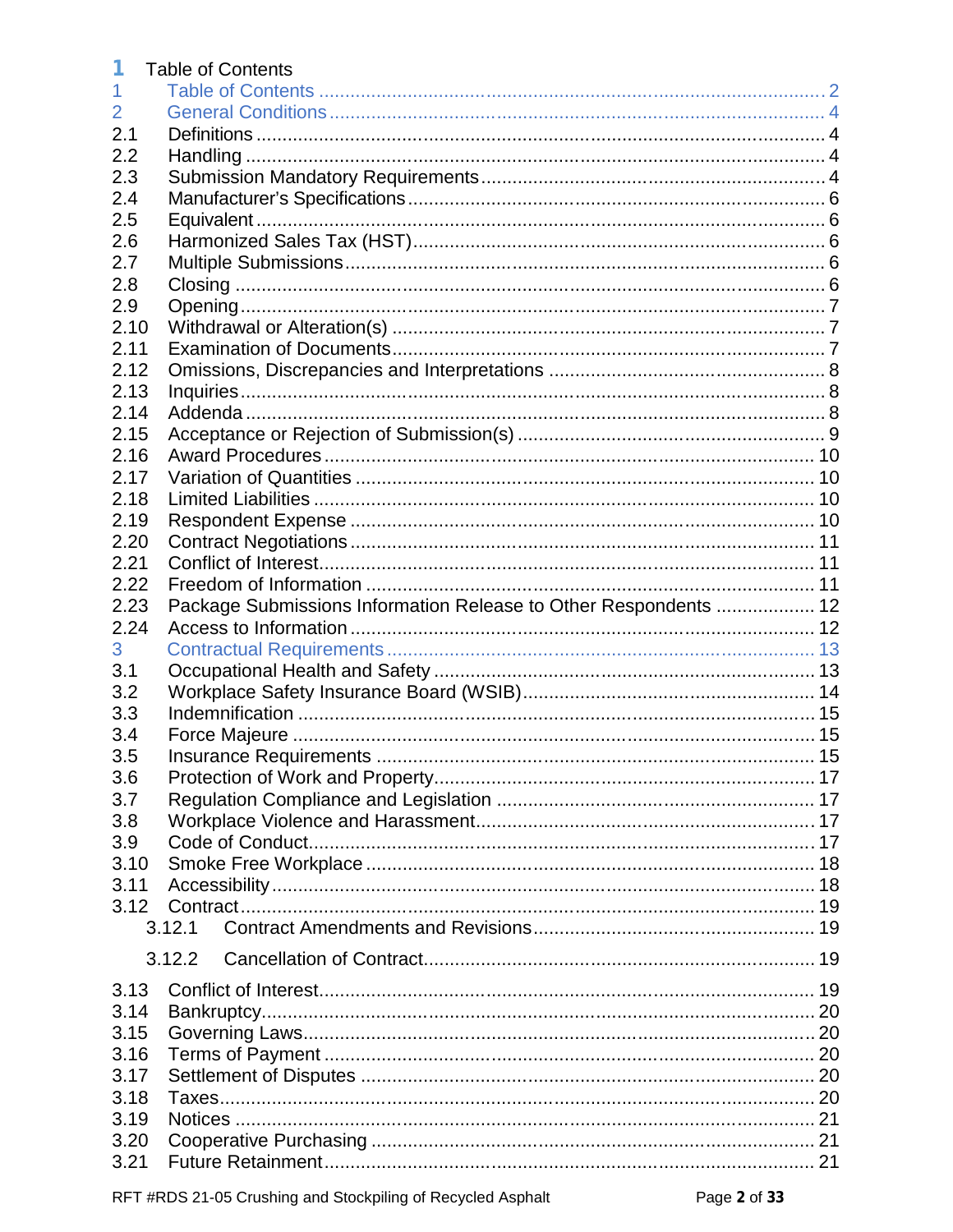|      | <b>Table of Contents</b>                                         |  |
|------|------------------------------------------------------------------|--|
|      |                                                                  |  |
| 2    |                                                                  |  |
| 2.1  |                                                                  |  |
| 2.2  |                                                                  |  |
| 2.3  |                                                                  |  |
| 2.4  |                                                                  |  |
| 2.5  |                                                                  |  |
| 2.6  |                                                                  |  |
| 2.7  |                                                                  |  |
| 2.8  |                                                                  |  |
| 2.9  |                                                                  |  |
| 2.10 |                                                                  |  |
| 2.11 |                                                                  |  |
| 2.12 |                                                                  |  |
| 2.13 |                                                                  |  |
| 2.14 |                                                                  |  |
| 2.15 |                                                                  |  |
| 2.16 |                                                                  |  |
| 2.17 |                                                                  |  |
| 2.18 |                                                                  |  |
| 2.19 |                                                                  |  |
| 2.20 |                                                                  |  |
| 2.21 |                                                                  |  |
| 2.22 |                                                                  |  |
| 2.23 | Package Submissions Information Release to Other Respondents  12 |  |
| 2.24 |                                                                  |  |
| 3    |                                                                  |  |
| 3.1  |                                                                  |  |
| 3.2  |                                                                  |  |
| 3.3  |                                                                  |  |
| 3.4  |                                                                  |  |
| 3.5  |                                                                  |  |
| 3.6  |                                                                  |  |
| 3.7  |                                                                  |  |
| 3.8  |                                                                  |  |
| 3.9  |                                                                  |  |
| 3.10 |                                                                  |  |
| 3.11 |                                                                  |  |
| 3.12 |                                                                  |  |
|      | 3.12.1                                                           |  |
|      |                                                                  |  |
|      | 3.12.2                                                           |  |
| 3.13 |                                                                  |  |
| 3.14 |                                                                  |  |
| 3.15 |                                                                  |  |
| 3.16 |                                                                  |  |
| 3.17 |                                                                  |  |
| 3.18 |                                                                  |  |
| 3.19 |                                                                  |  |
| 3.20 |                                                                  |  |
| 3.21 |                                                                  |  |
|      |                                                                  |  |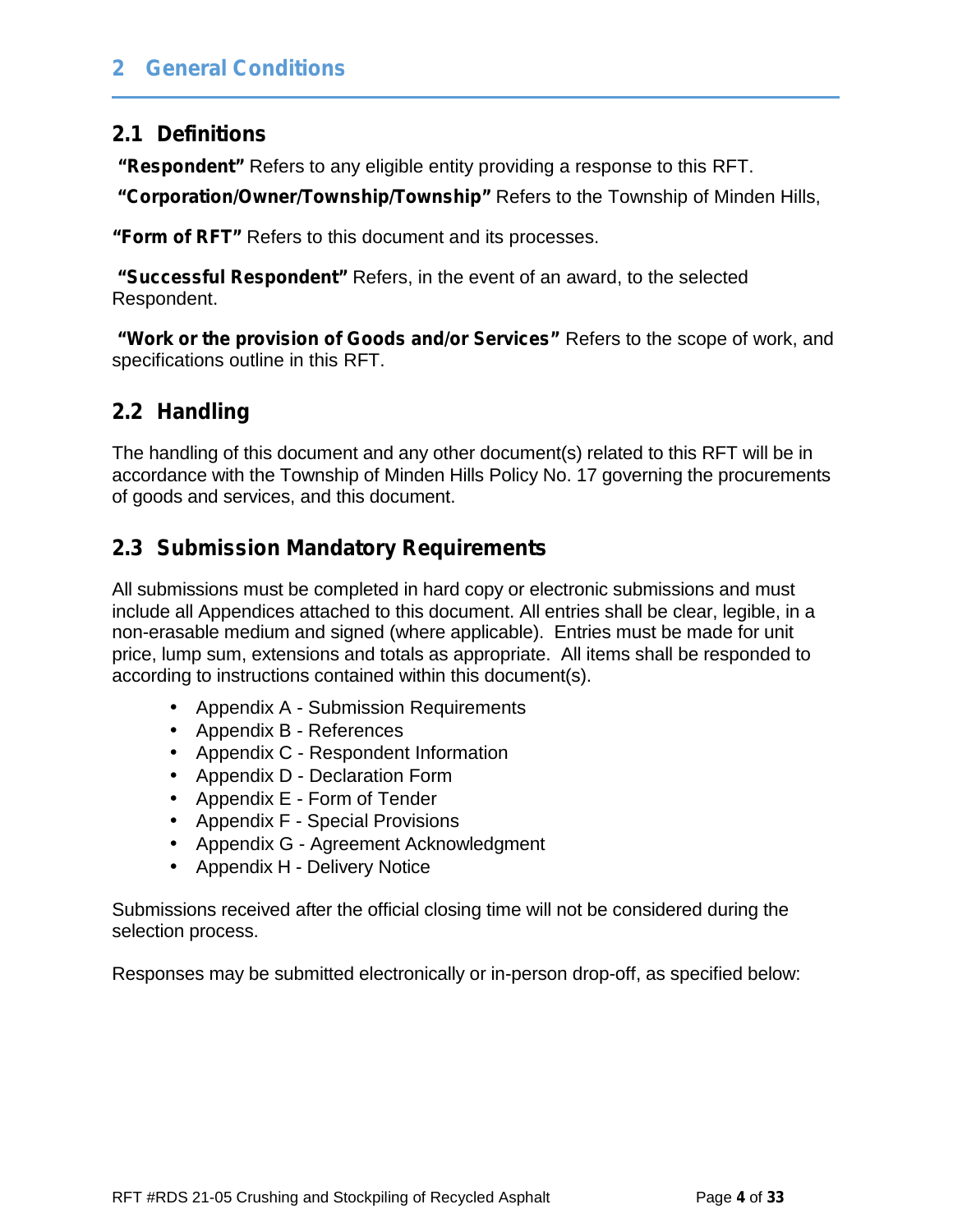### **2.1 Definitions**

**"Respondent"** Refers to any eligible entity providing a response to this RFT.

**"Corporation/Owner/Township/Township"** Refers to the Township of Minden Hills,

**"Form of RFT"** Refers to this document and its processes.

**"Successful Respondent"** Refers, in the event of an award, to the selected Respondent.

**"Work or the provision of Goods and/or Services"** Refers to the scope of work, and specifications outline in this RFT.

## **2.2 Handling**

The handling of this document and any other document(s) related to this RFT will be in accordance with the Township of Minden Hills Policy No. 17 governing the procurements of goods and services, and this document.

## **2.3 Submission Mandatory Requirements**

All submissions must be completed in hard copy or electronic submissions and must include all Appendices attached to this document. All entries shall be clear, legible, in a non-erasable medium and signed (where applicable). Entries must be made for unit price, lump sum, extensions and totals as appropriate. All items shall be responded to according to instructions contained within this document(s).

Appendix A - Submission Requirements

Appendix B - References

Appendix C - Respondent Information

- Appendix D Declaration Form
- Appendix E Form of Tender
- Appendix F Special Provisions
- Appendix G Agreement Acknowledgment
- Appendix H Delivery Notice

Submissions received after the official closing time will not be considered during the selection process.

Responses may be submitted electronically or in-person drop-off, as specified below: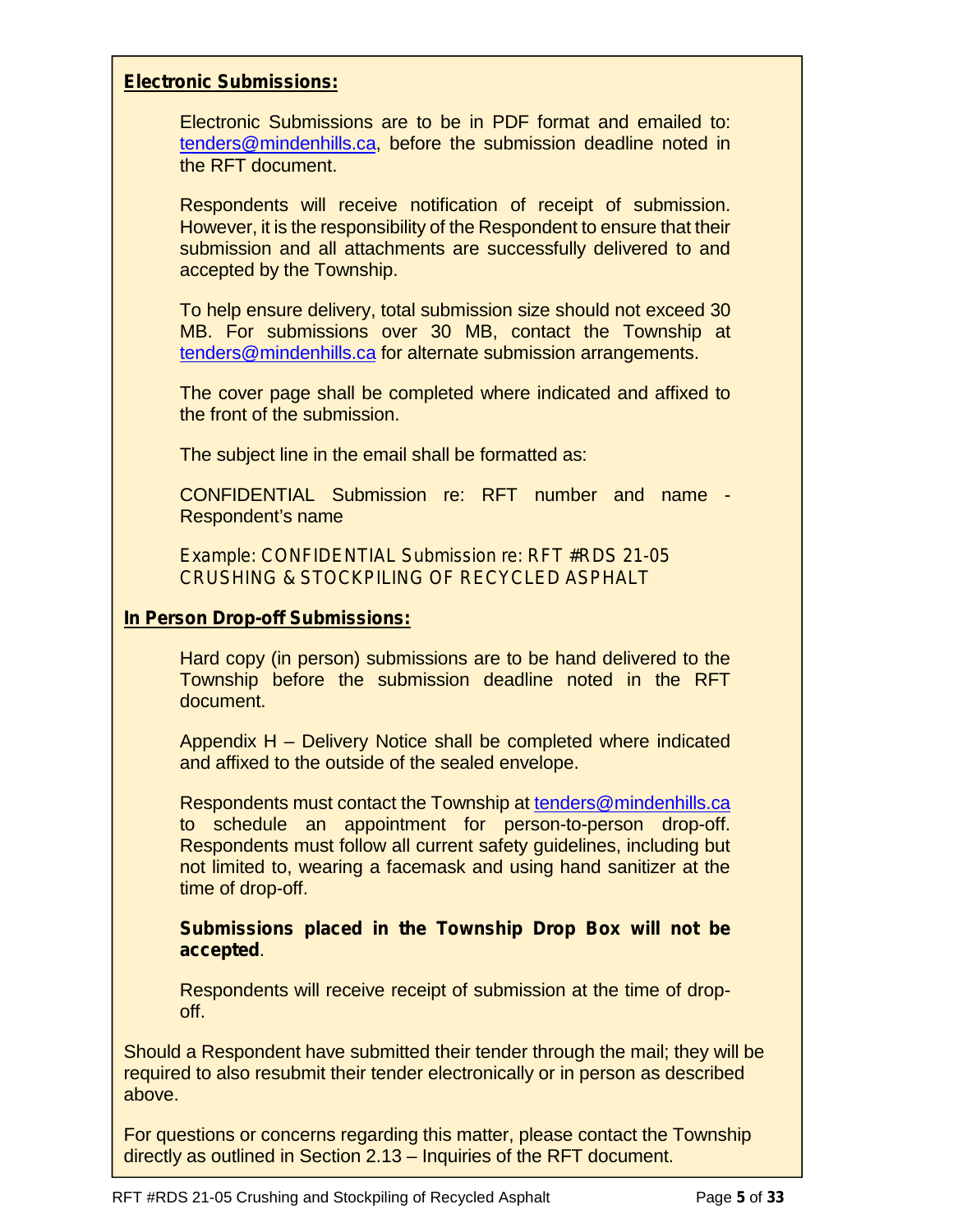#### **Electronic Submissions:**

Electronic Submissions are to be in PDF format and emailed to: tenders@mindenhills.ca, before the submission deadline noted in the RFT document.

Respondents will receive notification of receipt of submission. However, it is the responsibility of the Respondent to ensure that their submission and all attachments are successfully delivered to and accepted by the Township.

To help ensure delivery, total submission size should not exceed 30 MB. For submissions over 30 MB, contact the Township at tenders@mindenhills.ca for alternate submission arrangements.

The cover page shall be completed where indicated and affixed to the front of the submission.

The subject line in the email shall be formatted as:

CONFIDENTIAL Submission re: RFT number and name - Respondent's name

*Example: CONFIDENTIAL Submission re: RFT #RDS 21-05 CRUSHING & STOCKPILING OF RECYCLED ASPHALT*

#### **In Person Drop-off Submissions:**

Hard copy (in person) submissions are to be hand delivered to the Township before the submission deadline noted in the RFT document.

Appendix H – Delivery Notice shall be completed where indicated and affixed to the outside of the sealed envelope.

Respondents must contact the Township at tenders@mindenhills.ca to schedule an appointment for person-to-person drop-off. Respondents must follow all current safety guidelines, including but not limited to, wearing a facemask and using hand sanitizer at the time of drop-off.

**Submissions placed in the Township Drop Box will not be accepted**.

Respondents will receive receipt of submission at the time of drop off.

Should a Respondent have submitted their tender through the mail; they will be required to also resubmit their tender electronically or in person as described above.

For questions or concerns regarding this matter, please contact the Township directly as outlined in Section 2.13 – Inquiries of the RFT document.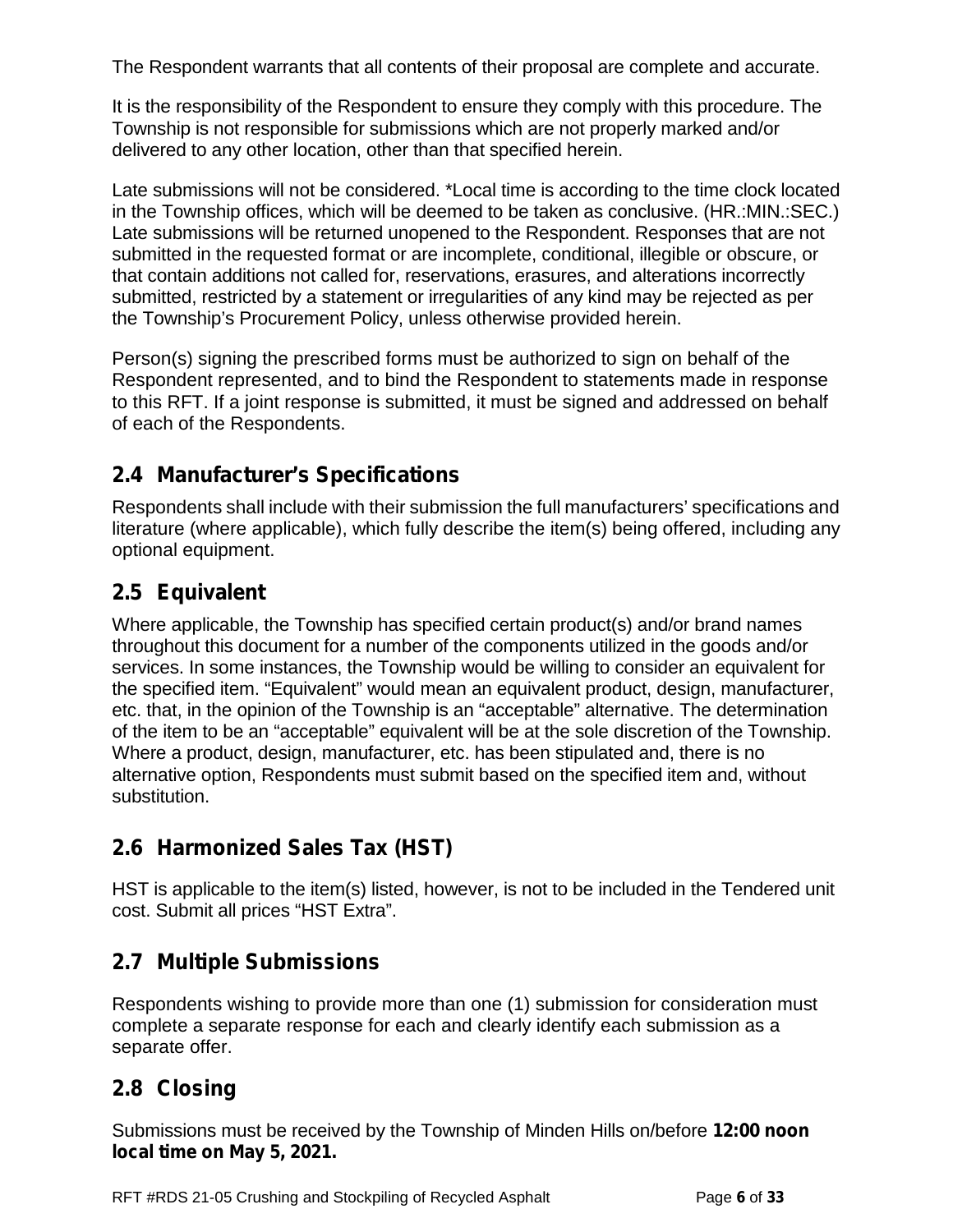The Respondent warrants that all contents of their proposal are complete and accurate.

It is the responsibility of the Respondent to ensure they comply with this procedure. The Township is not responsible for submissions which are not properly marked and/or delivered to any other location, other than that specified herein.

Late submissions will not be considered. \*Local time is according to the time clock located in the Township offices, which will be deemed to be taken as conclusive. (HR.:MIN.:SEC.) Late submissions will be returned unopened to the Respondent. Responses that are not submitted in the requested format or are incomplete, conditional, illegible or obscure, or that contain additions not called for, reservations, erasures, and alterations incorrectly submitted, restricted by a statement or irregularities of any kind may be rejected as per the Township's Procurement Policy, unless otherwise provided herein.

Person(s) signing the prescribed forms must be authorized to sign on behalf of the Respondent represented, and to bind the Respondent to statements made in response to this RFT. If a joint response is submitted, it must be signed and addressed on behalf of each of the Respondents.

### **2.4 Manufacturer's Specifications**

Respondents shall include with their submission the full manufacturers' specifications and literature (where applicable), which fully describe the item(s) being offered, including any optional equipment.

### **2.5 Equivalent**

Where applicable, the Township has specified certain product(s) and/or brand names throughout this document for a number of the components utilized in the goods and/or services. In some instances, the Township would be willing to consider an equivalent for the specified item. "Equivalent" would mean an equivalent product, design, manufacturer, etc. that, in the opinion of the Township is an "acceptable" alternative. The determination of the item to be an "acceptable" equivalent will be at the sole discretion of the Township. Where a product, design, manufacturer, etc. has been stipulated and, there is no alternative option, Respondents must submit based on the specified item and, without substitution.

## **2.6 Harmonized Sales Tax (HST)**

HST is applicable to the item(s) listed, however, is not to be included in the Tendered unit cost. Submit all prices "HST Extra".

## **2.7 Multiple Submissions**

Respondents wishing to provide more than one (1) submission for consideration must complete a separate response for each and clearly identify each submission as a separate offer.

## **2.8 Closing**

Submissions must be received by the Township of Minden Hills on/before **12:00 noon local time on May 5, 2021.**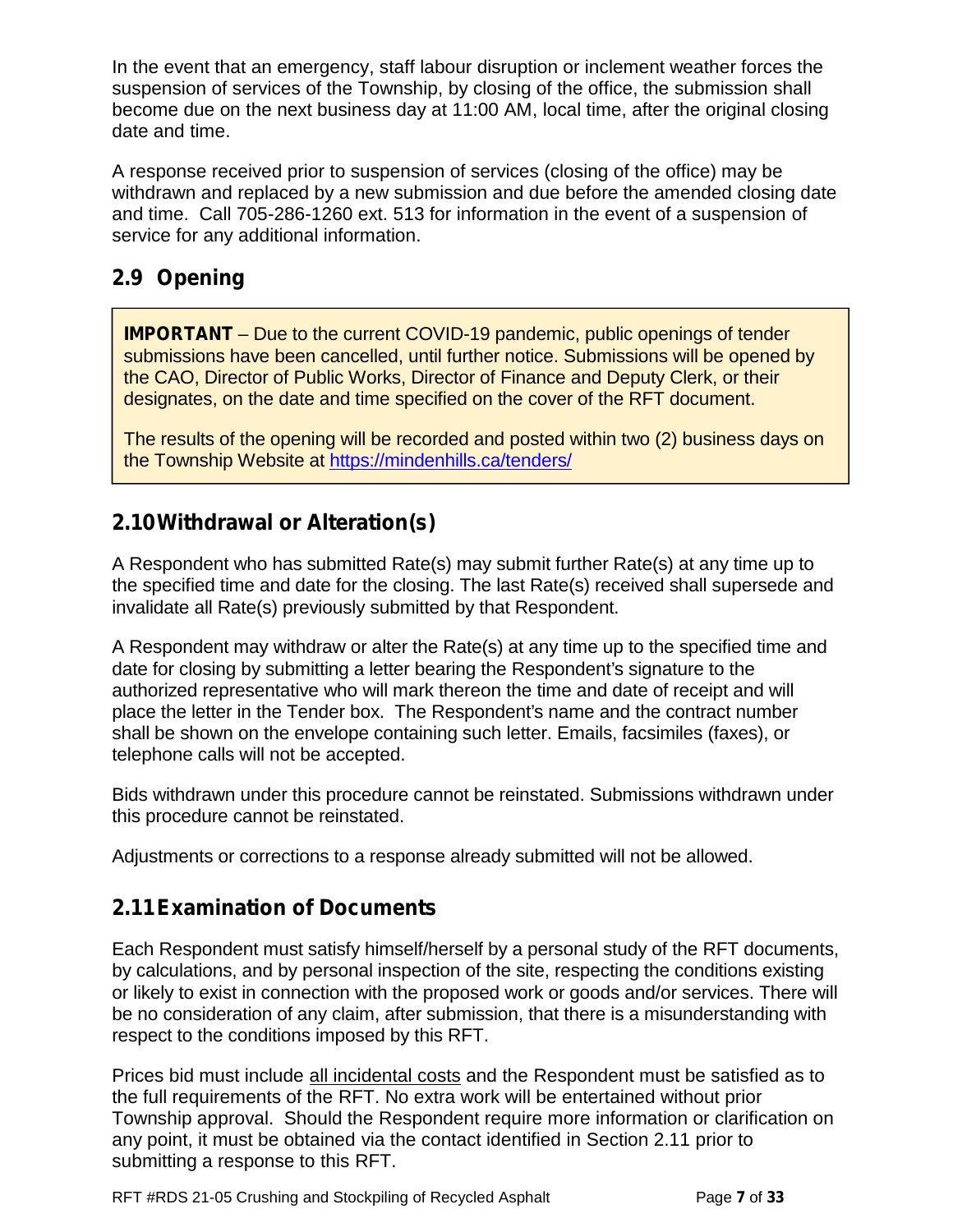In the event that an emergency, staff labour disruption or inclement weather forces the suspension of services of the Township, by closing of the office, the submission shall become due on the next business day at 11:00 AM, local time, after the original closing date and time.

A response received prior to suspension of services (closing of the office) may be withdrawn and replaced by a new submission and due before the amended closing date and time. Call 705-286-1260 ext. 513 for information in the event of a suspension of service for any additional information.

### **2.9 Opening**

**IMPORTANT** – Due to the current COVID-19 pandemic, public openings of tender submissions have been cancelled, until further notice. Submissions will be opened by the CAO, Director of Public Works, Director of Finance and Deputy Clerk, or their designates, on the date and time specified on the cover of the RFT document.

The results of the opening will be recorded and posted within two (2) business days on the Township Website at https://mindenhills.ca/tenders/

### **2.10Withdrawal or Alteration(s)**

A Respondent who has submitted Rate(s) may submit further Rate(s) at any time up to the specified time and date for the closing. The last Rate(s) received shall supersede and invalidate all Rate(s) previously submitted by that Respondent.

A Respondent may withdraw or alter the Rate(s) at any time up to the specified time and date for closing by submitting a letter bearing the Respondent's signature to the authorized representative who will mark thereon the time and date of receipt and will place the letter in the Tender box. The Respondent's name and the contract number shall be shown on the envelope containing such letter. Emails, facsimiles (faxes), or telephone calls will not be accepted.

Bids withdrawn under this procedure cannot be reinstated. Submissions withdrawn under this procedure cannot be reinstated.

Adjustments or corrections to a response already submitted will not be allowed.

### **2.11Examination of Documents**

Each Respondent must satisfy himself/herself by a personal study of the RFT documents, by calculations, and by personal inspection of the site, respecting the conditions existing or likely to exist in connection with the proposed work or goods and/or services. There will be no consideration of any claim, after submission, that there is a misunderstanding with respect to the conditions imposed by this RFT.

Prices bid must include all incidental costs and the Respondent must be satisfied as to the full requirements of the RFT. No extra work will be entertained without prior Township approval. Should the Respondent require more information or clarification on any point, it must be obtained via the contact identified in Section 2.11 prior to submitting a response to this RFT.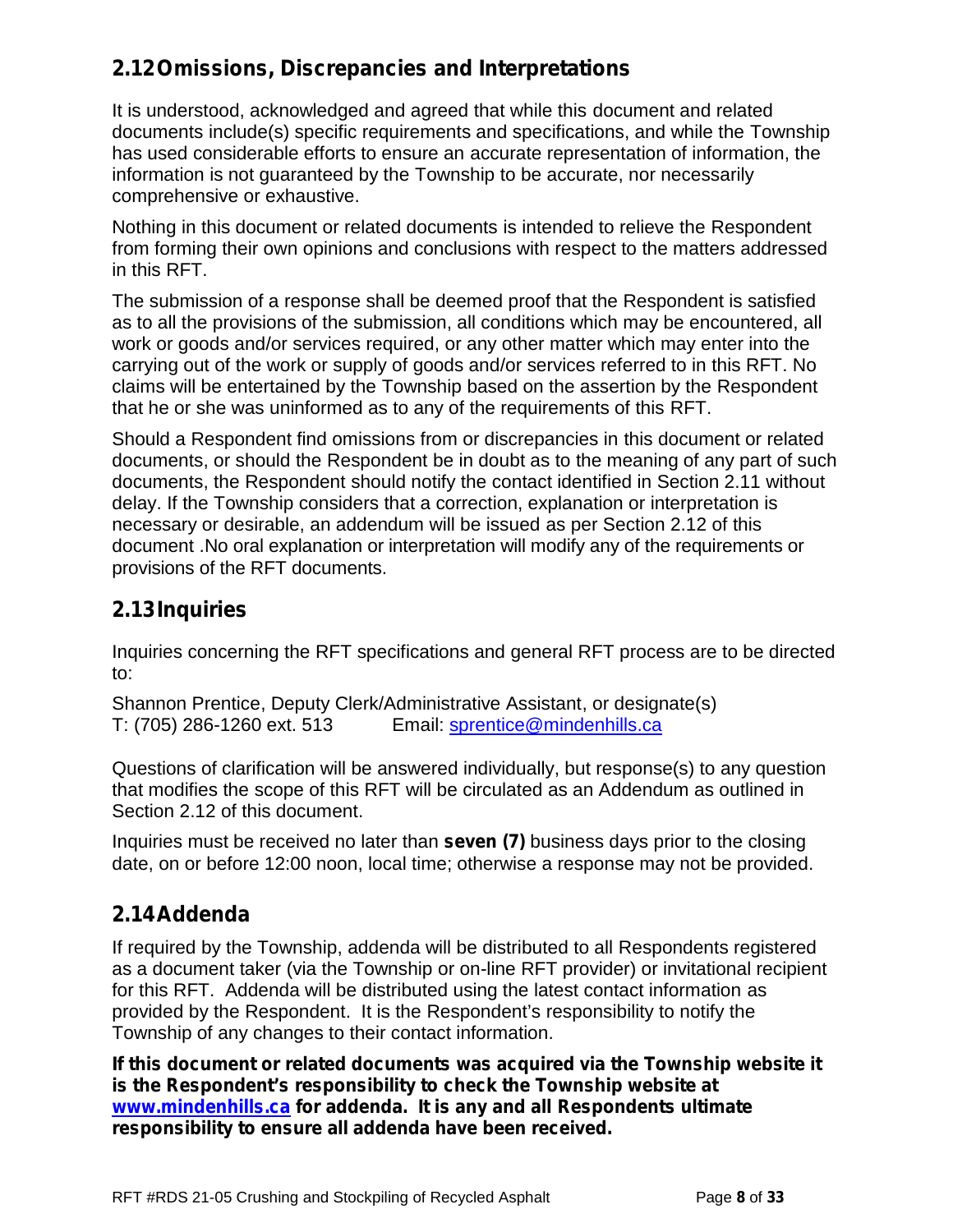## **2.12Omissions, Discrepancies and Interpretations**

It is understood, acknowledged and agreed that while this document and related documents include(s) specific requirements and specifications, and while the Township has used considerable efforts to ensure an accurate representation of information, the information is not guaranteed by the Township to be accurate, nor necessarily comprehensive or exhaustive.

Nothing in this document or related documents is intended to relieve the Respondent from forming their own opinions and conclusions with respect to the matters addressed in this RFT.

The submission of a response shall be deemed proof that the Respondent is satisfied as to all the provisions of the submission, all conditions which may be encountered, all work or goods and/or services required, or any other matter which may enter into the carrying out of the work or supply of goods and/or services referred to in this RFT. No claims will be entertained by the Township based on the assertion by the Respondent that he or she was uninformed as to any of the requirements of this RFT.

Should a Respondent find omissions from or discrepancies in this document or related documents, or should the Respondent be in doubt as to the meaning of any part of such documents, the Respondent should notify the contact identified in Section 2.11 without delay. If the Township considers that a correction, explanation or interpretation is necessary or desirable, an addendum will be issued as per Section 2.12 of this document .No oral explanation or interpretation will modify any of the requirements or provisions of the RFT documents.

## **2.13Inquiries**

Inquiries concerning the RFT specifications and general RFT process are to be directed to:

Shannon Prentice, Deputy Clerk/Administrative Assistant, or designate(s) T: (705) 286-1260 ext. 513 Email: sprentice@mindenhills.ca

Questions of clarification will be answered individually, but response(s) to any question that modifies the scope of this RFT will be circulated as an Addendum as outlined in Section 2.12 of this document.

Inquiries must be received no later than **seven (7)** business days prior to the closing date, on or before 12:00 noon, local time; otherwise a response may not be provided.

## **2.14Addenda**

If required by the Township, addenda will be distributed to all Respondents registered as a document taker (via the Township or on-line RFT provider) or invitational recipient for this RFT. Addenda will be distributed using the latest contact information as provided by the Respondent. It is the Respondent's responsibility to notify the Township of any changes to their contact information.

**If this document or related documents was acquired via the Township website it is the Respondent's responsibility to check the Township website at www.mindenhills.ca for addenda. It is any and all Respondents ultimate responsibility to ensure all addenda have been received.**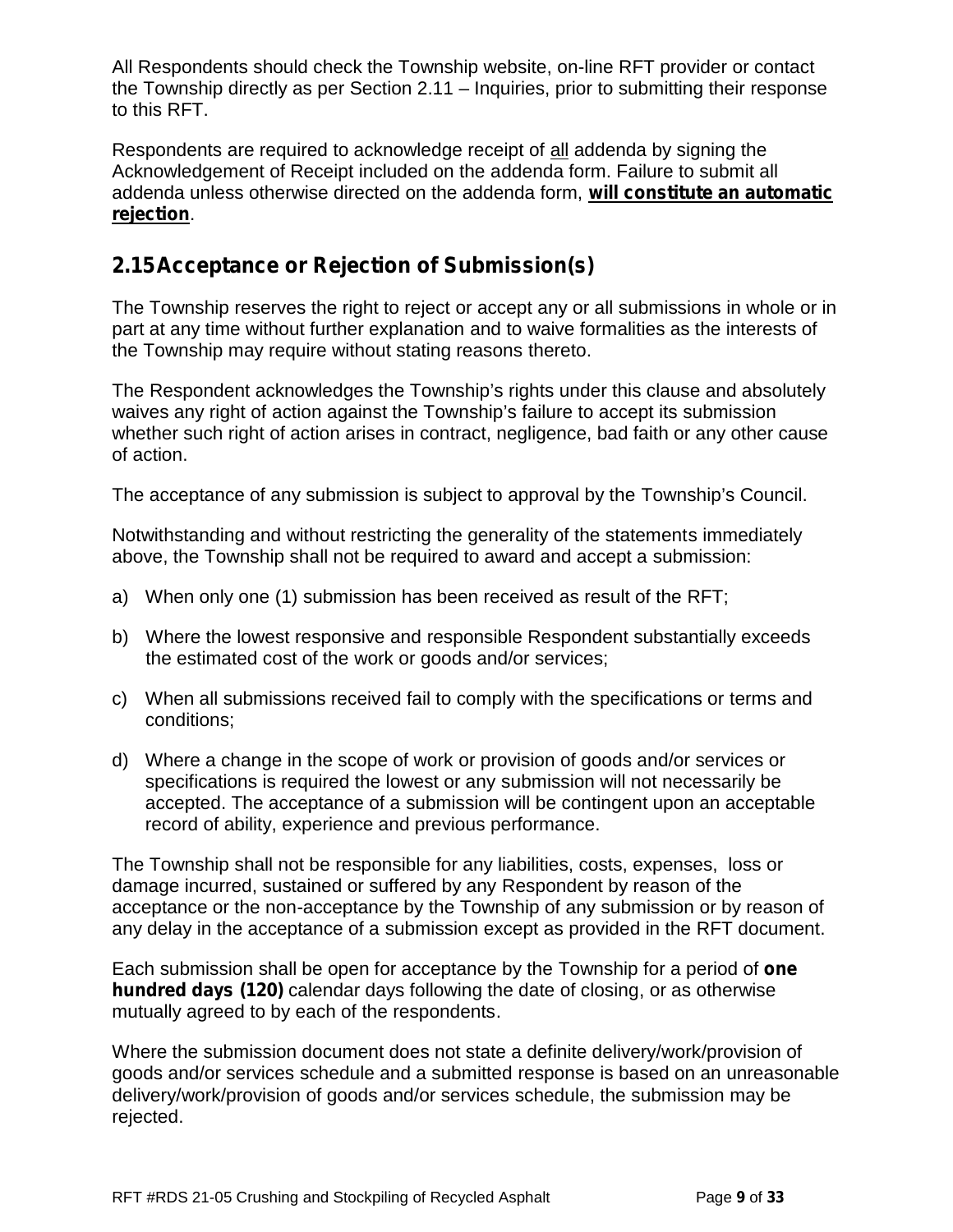All Respondents should check the Township website, on-line RFT provider or contact the Township directly as per Section 2.11 – Inquiries, prior to submitting their response to this RFT.

Respondents are required to acknowledge receipt of all addenda by signing the Acknowledgement of Receipt included on the addenda form. Failure to submit all addenda unless otherwise directed on the addenda form, **will constitute an automatic rejection**.

### **2.15Acceptance or Rejection of Submission(s)**

The Township reserves the right to reject or accept any or all submissions in whole or in part at any time without further explanation and to waive formalities as the interests of the Township may require without stating reasons thereto.

The Respondent acknowledges the Township's rights under this clause and absolutely waives any right of action against the Township's failure to accept its submission whether such right of action arises in contract, negligence, bad faith or any other cause of action.

The acceptance of any submission is subject to approval by the Township's Council.

Notwithstanding and without restricting the generality of the statements immediately above, the Township shall not be required to award and accept a submission:

- a) When only one (1) submission has been received as result of the RFT;
- b) Where the lowest responsive and responsible Respondent substantially exceeds the estimated cost of the work or goods and/or services;
- c) When all submissions received fail to comply with the specifications or terms and conditions;
- d) Where a change in the scope of work or provision of goods and/or services or specifications is required the lowest or any submission will not necessarily be accepted. The acceptance of a submission will be contingent upon an acceptable record of ability, experience and previous performance.

The Township shall not be responsible for any liabilities, costs, expenses, loss or damage incurred, sustained or suffered by any Respondent by reason of the acceptance or the non-acceptance by the Township of any submission or by reason of any delay in the acceptance of a submission except as provided in the RFT document.

Each submission shall be open for acceptance by the Township for a period of **one hundred days (120)** calendar days following the date of closing, or as otherwise mutually agreed to by each of the respondents.

Where the submission document does not state a definite delivery/work/provision of goods and/or services schedule and a submitted response is based on an unreasonable delivery/work/provision of goods and/or services schedule, the submission may be rejected.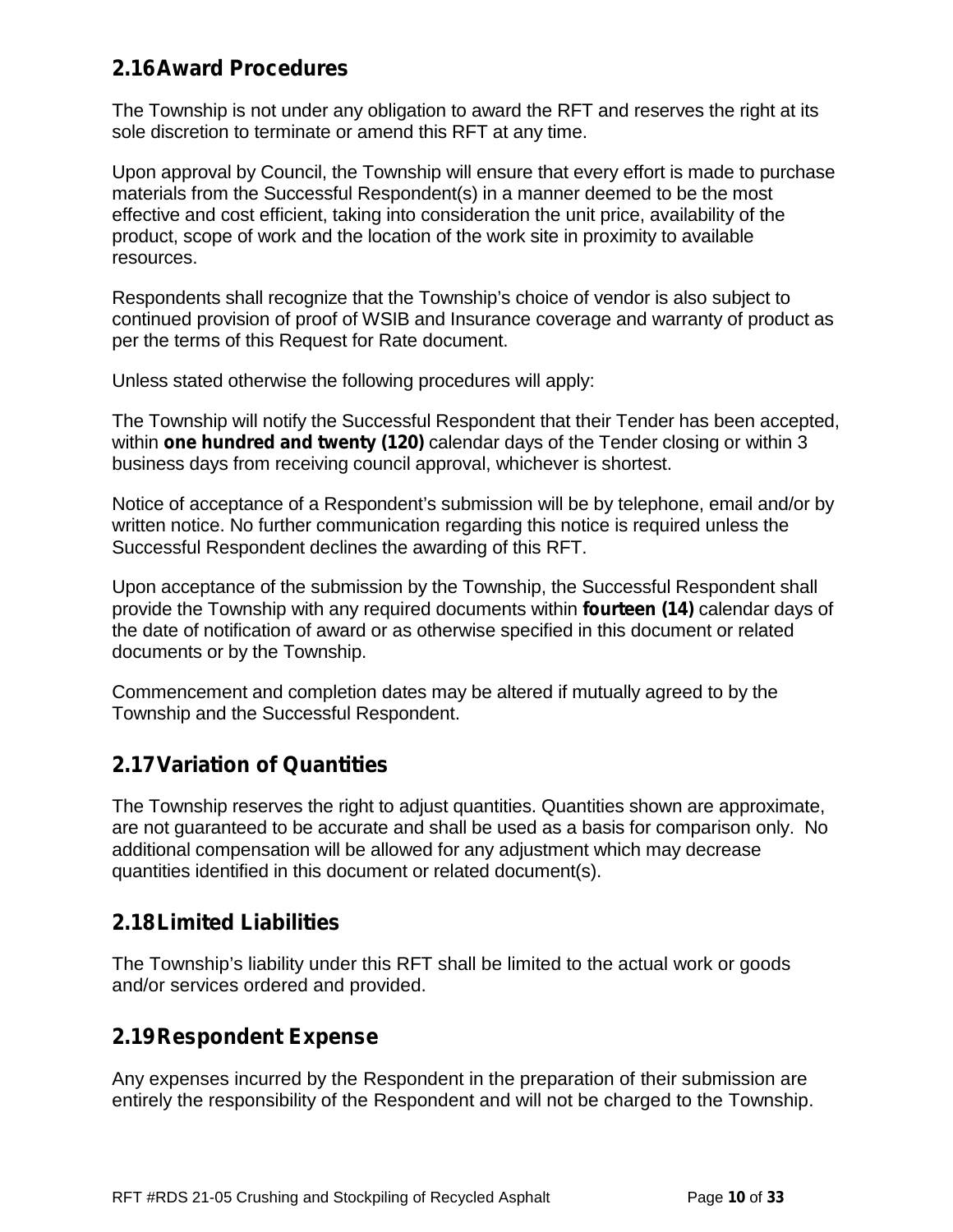### **2.16Award Procedures**

The Township is not under any obligation to award the RFT and reserves the right at its sole discretion to terminate or amend this RFT at any time.

Upon approval by Council, the Township will ensure that every effort is made to purchase materials from the Successful Respondent(s) in a manner deemed to be the most effective and cost efficient, taking into consideration the unit price, availability of the product, scope of work and the location of the work site in proximity to available resources.

Respondents shall recognize that the Township's choice of vendor is also subject to continued provision of proof of WSIB and Insurance coverage and warranty of product as per the terms of this Request for Rate document.

Unless stated otherwise the following procedures will apply:

The Township will notify the Successful Respondent that their Tender has been accepted, within **one hundred and twenty (120)** calendar days of the Tender closing or within 3 business days from receiving council approval, whichever is shortest.

Notice of acceptance of a Respondent's submission will be by telephone, email and/or by written notice. No further communication regarding this notice is required unless the Successful Respondent declines the awarding of this RFT.

Upon acceptance of the submission by the Township, the Successful Respondent shall provide the Township with any required documents within **fourteen (14)** calendar days of the date of notification of award or as otherwise specified in this document or related documents or by the Township.

Commencement and completion dates may be altered if mutually agreed to by the Township and the Successful Respondent.

### **2.17Variation of Quantities**

The Township reserves the right to adjust quantities. Quantities shown are approximate, are not guaranteed to be accurate and shall be used as a basis for comparison only. No additional compensation will be allowed for any adjustment which may decrease quantities identified in this document or related document(s).

### **2.18Limited Liabilities**

The Township's liability under this RFT shall be limited to the actual work or goods and/or services ordered and provided.

### **2.19Respondent Expense**

Any expenses incurred by the Respondent in the preparation of their submission are entirely the responsibility of the Respondent and will not be charged to the Township.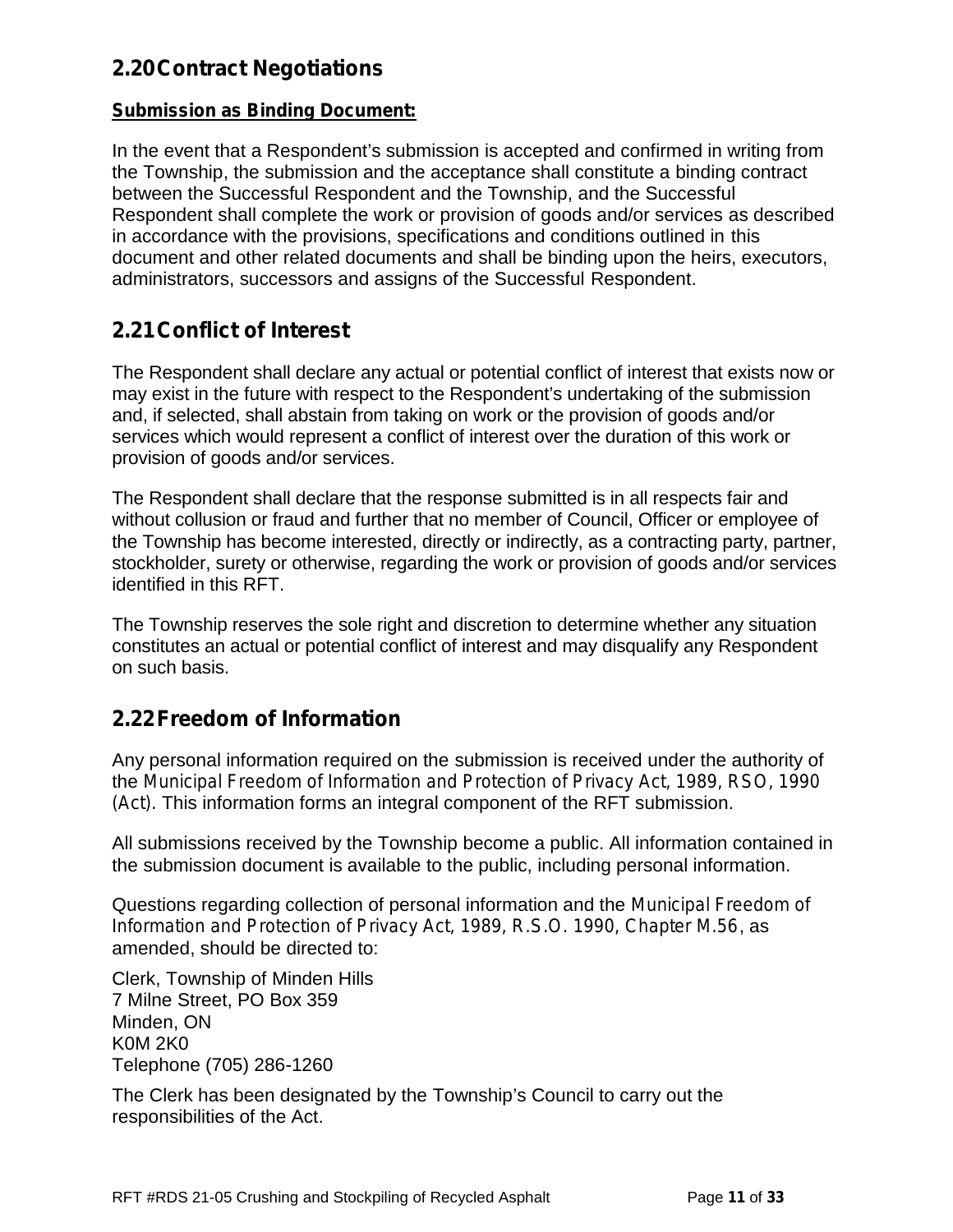### **2.20Contract Negotiations**

#### **Submission as Binding Document:**

In the event that a Respondent's submission is accepted and confirmed in writing from the Township, the submission and the acceptance shall constitute a binding contract between the Successful Respondent and the Township, and the Successful Respondent shall complete the work or provision of goods and/or services as described in accordance with the provisions, specifications and conditions outlined in this document and other related documents and shall be binding upon the heirs, executors, administrators, successors and assigns of the Successful Respondent.

### **2.21Conflict of Interest**

The Respondent shall declare any actual or potential conflict of interest that exists now or may exist in the future with respect to the Respondent's undertaking of the submission and, if selected, shall abstain from taking on work or the provision of goods and/or services which would represent a conflict of interest over the duration of this work or provision of goods and/or services.

The Respondent shall declare that the response submitted is in all respects fair and without collusion or fraud and further that no member of Council, Officer or employee of the Township has become interested, directly or indirectly, as a contracting party, partner, stockholder, surety or otherwise, regarding the work or provision of goods and/or services identified in this RFT.

The Township reserves the sole right and discretion to determine whether any situation constitutes an actual or potential conflict of interest and may disqualify any Respondent on such basis.

## **2.22Freedom of Information**

Any personal information required on the submission is received under the authority of the *Municipal Freedom of Information and Protection of Privacy Act, 1989, RSO, 1990 (Act).* This information forms an integral component of the RFT submission.

All submissions received by the Township become a public. All information contained in the submission document is available to the public, including personal information.

Questions regarding collection of personal information and the *Municipal Freedom of Information and Protection of Privacy Act, 1989, R.S.O. 1990, Chapter M.56*, as amended, should be directed to:

Clerk, Township of Minden Hills 7 Milne Street, PO Box 359 Minden, ON K0M 2K0 Telephone (705) 286-1260

The Clerk has been designated by the Township's Council to carry out the responsibilities of the Act.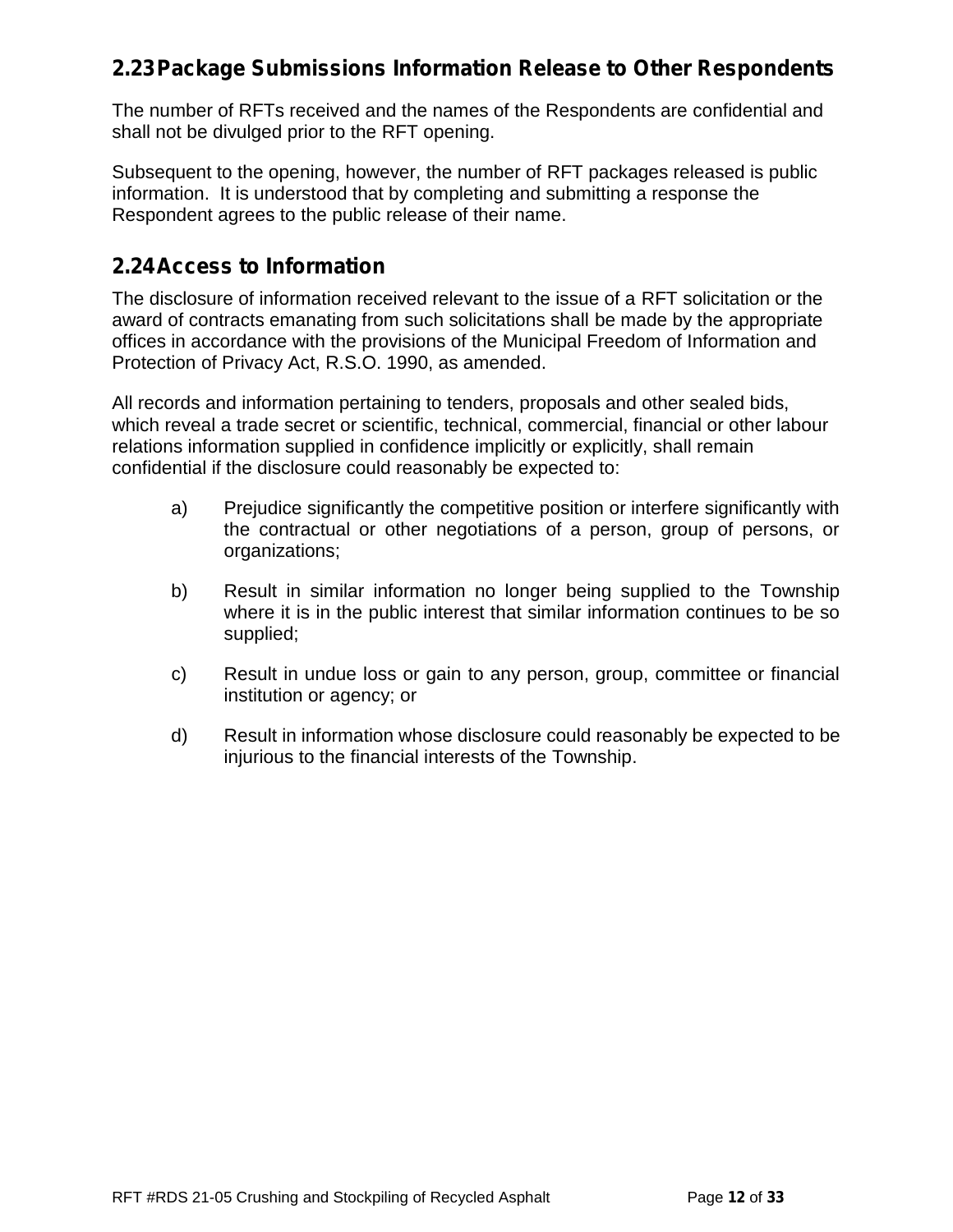### **2.23Package Submissions Information Release to Other Respondents**

The number of RFTs received and the names of the Respondents are confidential and shall not be divulged prior to the RFT opening.

Subsequent to the opening, however, the number of RFT packages released is public information. It is understood that by completing and submitting a response the Respondent agrees to the public release of their name.

### **2.24Access to Information**

The disclosure of information received relevant to the issue of a RFT solicitation or the award of contracts emanating from such solicitations shall be made by the appropriate offices in accordance with the provisions of the Municipal Freedom of Information and Protection of Privacy Act, R.S.O. 1990, as amended.

All records and information pertaining to tenders, proposals and other sealed bids, which reveal a trade secret or scientific, technical, commercial, financial or other labour relations information supplied in confidence implicitly or explicitly, shall remain confidential if the disclosure could reasonably be expected to:

- a) Prejudice significantly the competitive position or interfere significantly with the contractual or other negotiations of a person, group of persons, or organizations;
- b) Result in similar information no longer being supplied to the Township where it is in the public interest that similar information continues to be so supplied;
- c) Result in undue loss or gain to any person, group, committee or financial institution or agency; or
- d) Result in information whose disclosure could reasonably be expected to be injurious to the financial interests of the Township.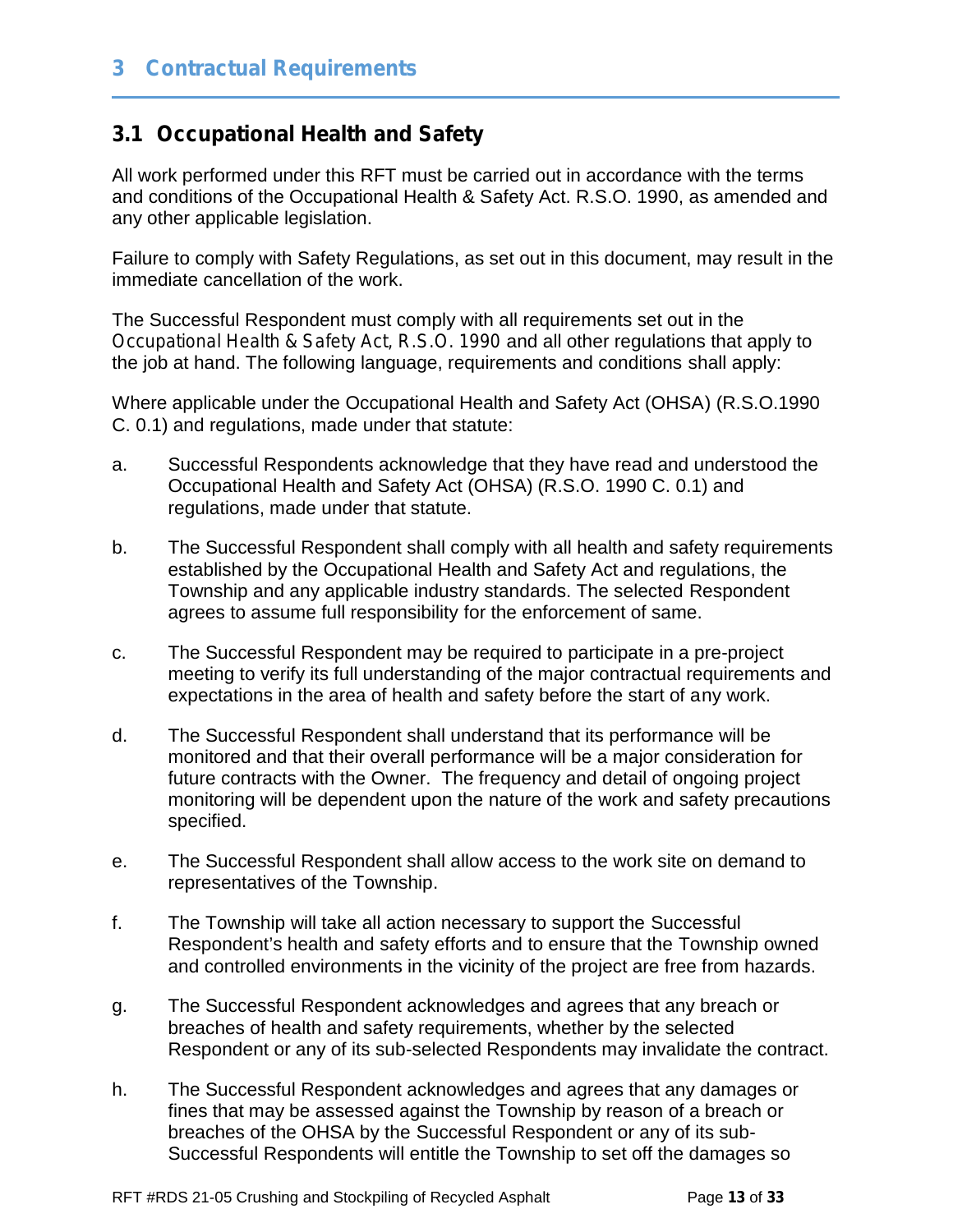### **3.1 Occupational Health and Safety**

All work performed under this RFT must be carried out in accordance with the terms and conditions of the Occupational Health & Safety Act. R.S.O. 1990, as amended and any other applicable legislation.

Failure to comply with Safety Regulations, as set out in this document, may result in the immediate cancellation of the work.

The Successful Respondent must comply with all requirements set out in the *Occupational Health & Safety Act, R.S.O. 1990* and all other regulations that apply to the job at hand. The following language, requirements and conditions shall apply:

Where applicable under the Occupational Health and Safety Act (OHSA) (R.S.O.1990 C. 0.1) and regulations, made under that statute:

- a. Successful Respondents acknowledge that they have read and understood the Occupational Health and Safety Act (OHSA) (R.S.O. 1990 C. 0.1) and regulations, made under that statute.
- b. The Successful Respondent shall comply with all health and safety requirements established by the Occupational Health and Safety Act and regulations, the Township and any applicable industry standards. The selected Respondent agrees to assume full responsibility for the enforcement of same.
- c. The Successful Respondent may be required to participate in a pre-project meeting to verify its full understanding of the major contractual requirements and expectations in the area of health and safety before the start of any work.
- d. The Successful Respondent shall understand that its performance will be monitored and that their overall performance will be a major consideration for future contracts with the Owner. The frequency and detail of ongoing project monitoring will be dependent upon the nature of the work and safety precautions specified.
- e. The Successful Respondent shall allow access to the work site on demand to representatives of the Township.
- f. The Township will take all action necessary to support the Successful Respondent's health and safety efforts and to ensure that the Township owned and controlled environments in the vicinity of the project are free from hazards.
- g. The Successful Respondent acknowledges and agrees that any breach or breaches of health and safety requirements, whether by the selected Respondent or any of its sub-selected Respondents may invalidate the contract.
- h. The Successful Respondent acknowledges and agrees that any damages or fines that may be assessed against the Township by reason of a breach or breaches of the OHSA by the Successful Respondent or any of its sub- Successful Respondents will entitle the Township to set off the damages so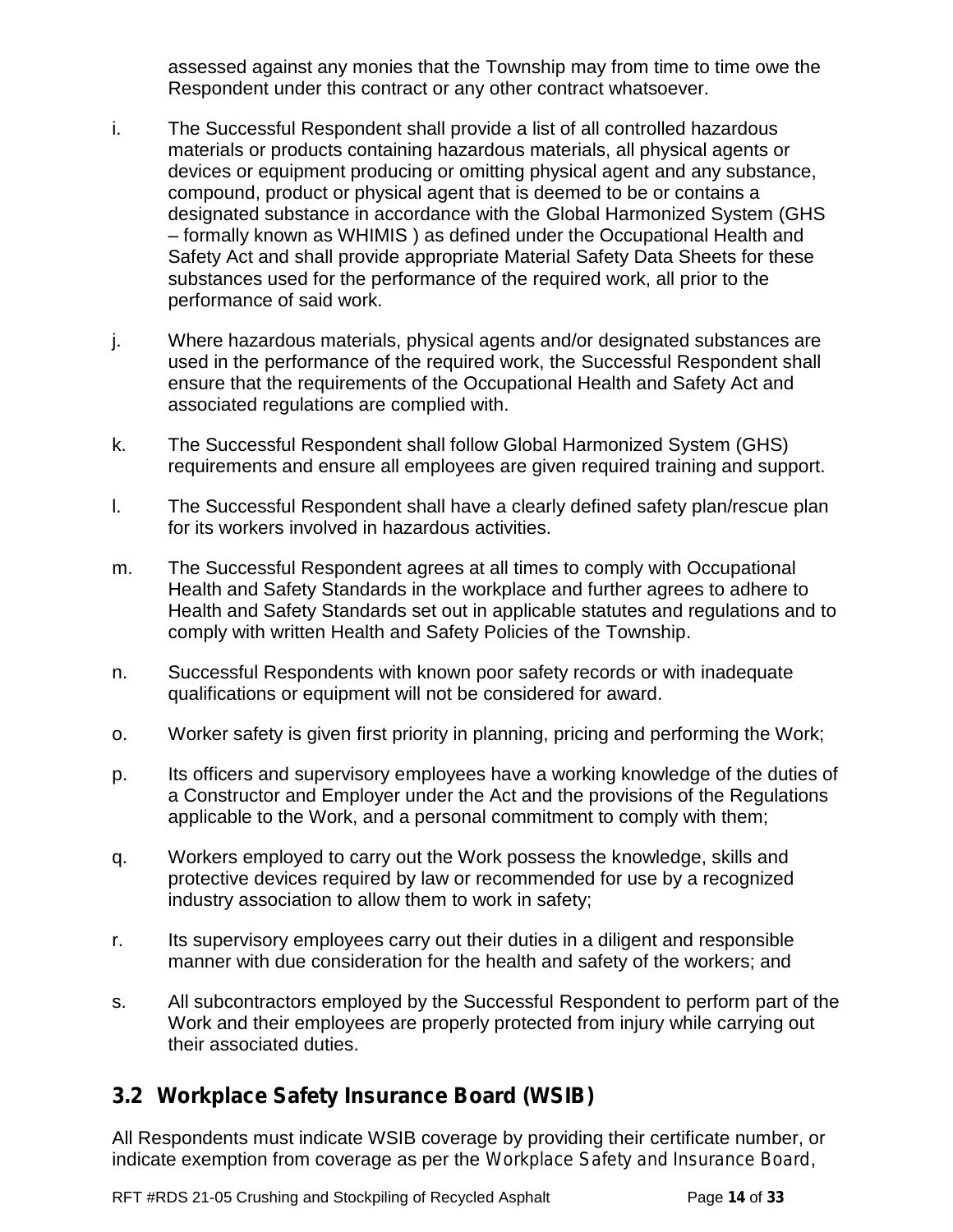assessed against any monies that the Township may from time to time owe the Respondent under this contract or any other contract whatsoever.

- i. The Successful Respondent shall provide a list of all controlled hazardous materials or products containing hazardous materials, all physical agents or devices or equipment producing or omitting physical agent and any substance, compound, product or physical agent that is deemed to be or contains a designated substance in accordance with the Global Harmonized System (GHS – formally known as WHIMIS ) as defined under the Occupational Health and Safety Act and shall provide appropriate Material Safety Data Sheets for these substances used for the performance of the required work, all prior to the performance of said work.
- j. Where hazardous materials, physical agents and/or designated substances are used in the performance of the required work, the Successful Respondent shall ensure that the requirements of the Occupational Health and Safety Act and associated regulations are complied with.
- k. The Successful Respondent shall follow Global Harmonized System (GHS) requirements and ensure all employees are given required training and support.
- l. The Successful Respondent shall have a clearly defined safety plan/rescue plan for its workers involved in hazardous activities.
- m. The Successful Respondent agrees at all times to comply with Occupational Health and Safety Standards in the workplace and further agrees to adhere to Health and Safety Standards set out in applicable statutes and regulations and to comply with written Health and Safety Policies of the Township.
- n. Successful Respondents with known poor safety records or with inadequate qualifications or equipment will not be considered for award.
- o. Worker safety is given first priority in planning, pricing and performing the Work;
- p. Its officers and supervisory employees have a working knowledge of the duties of a Constructor and Employer under the Act and the provisions of the Regulations applicable to the Work, and a personal commitment to comply with them;
- q. Workers employed to carry out the Work possess the knowledge, skills and protective devices required by law or recommended for use by a recognized industry association to allow them to work in safety;
- r. Its supervisory employees carry out their duties in a diligent and responsible manner with due consideration for the health and safety of the workers; and
- s. All subcontractors employed by the Successful Respondent to perform part of the Work and their employees are properly protected from injury while carrying out their associated duties.

## **3.2 Workplace Safety Insurance Board (WSIB)**

All Respondents must indicate WSIB coverage by providing their certificate number, or indicate exemption from coverage as per the *Workplace Safety and Insurance Board*,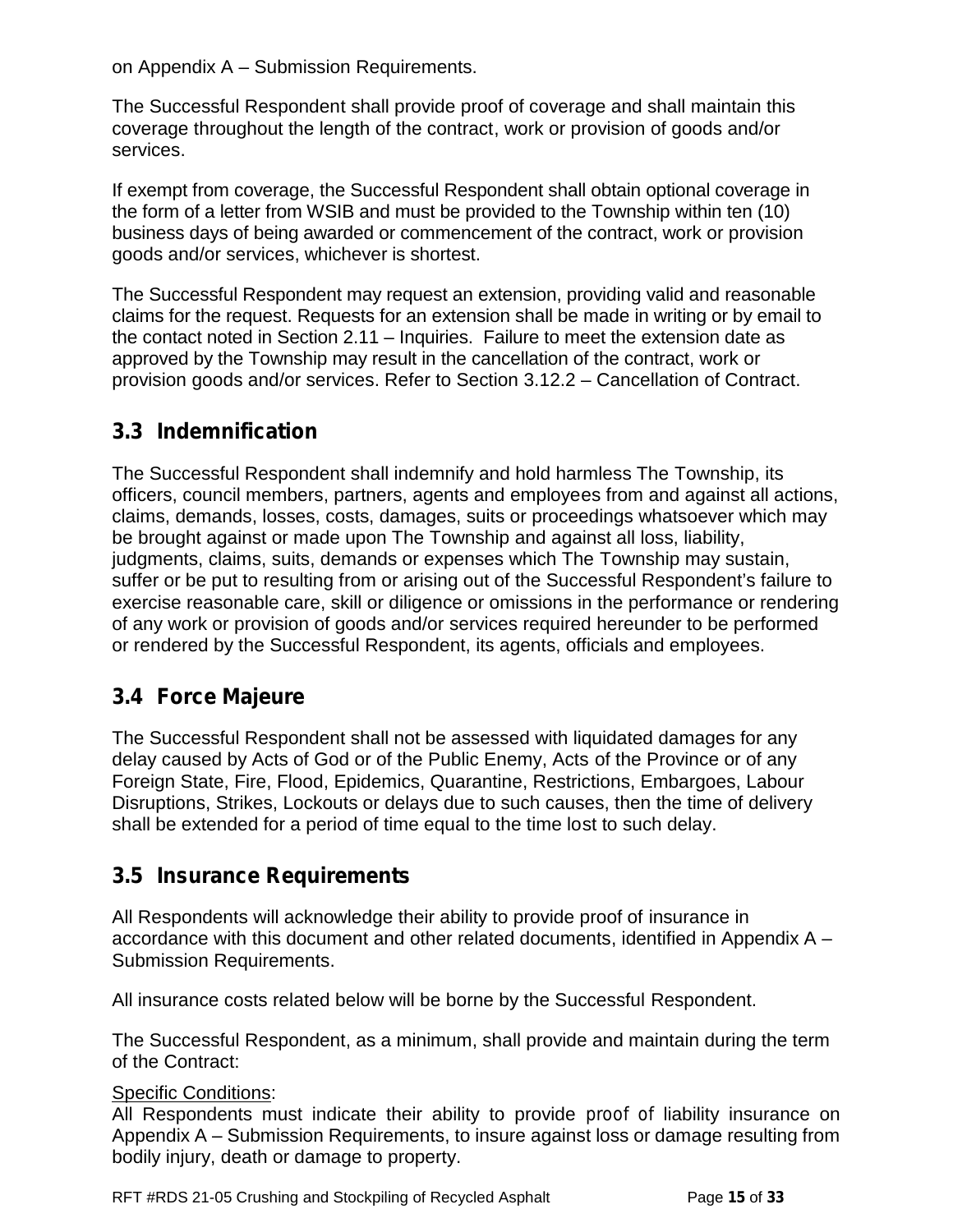on Appendix A – Submission Requirements.

The Successful Respondent shall provide proof of coverage and shall maintain this coverage throughout the length of the contract, work or provision of goods and/or services.

If exempt from coverage, the Successful Respondent shall obtain optional coverage in the form of a letter from WSIB and must be provided to the Township within ten (10) business days of being awarded or commencement of the contract, work or provision goods and/or services, whichever is shortest.

The Successful Respondent may request an extension, providing valid and reasonable claims for the request. Requests for an extension shall be made in writing or by email to the contact noted in Section 2.11 – Inquiries. Failure to meet the extension date as approved by the Township may result in the cancellation of the contract, work or provision goods and/or services. Refer to Section 3.12.2 – Cancellation of Contract.

## **3.3 Indemnification**

The Successful Respondent shall indemnify and hold harmless The Township, its officers, council members, partners, agents and employees from and against all actions, claims, demands, losses, costs, damages, suits or proceedings whatsoever which may be brought against or made upon The Township and against all loss, liability, judgments, claims, suits, demands or expenses which The Township may sustain, suffer or be put to resulting from or arising out of the Successful Respondent's failure to exercise reasonable care, skill or diligence or omissions in the performance or rendering of any work or provision of goods and/or services required hereunder to be performed or rendered by the Successful Respondent, its agents, officials and employees.

## **3.4 Force Majeure**

The Successful Respondent shall not be assessed with liquidated damages for any delay caused by Acts of God or of the Public Enemy, Acts of the Province or of any Foreign State, Fire, Flood, Epidemics, Quarantine, Restrictions, Embargoes, Labour Disruptions, Strikes, Lockouts or delays due to such causes, then the time of delivery shall be extended for a period of time equal to the time lost to such delay.

### **3.5 Insurance Requirements**

All Respondents will acknowledge their ability to provide proof of insurance in accordance with this document and other related documents, identified in Appendix A – Submission Requirements.

All insurance costs related below will be borne by the Successful Respondent.

The Successful Respondent, as a minimum, shall provide and maintain during the term of the Contract:

#### Specific Conditions:

All Respondents must indicate their ability to provide *proof of* liability insurance on Appendix A –Submission Requirements, to insure against loss or damage resulting from bodily injury, death or damage to property.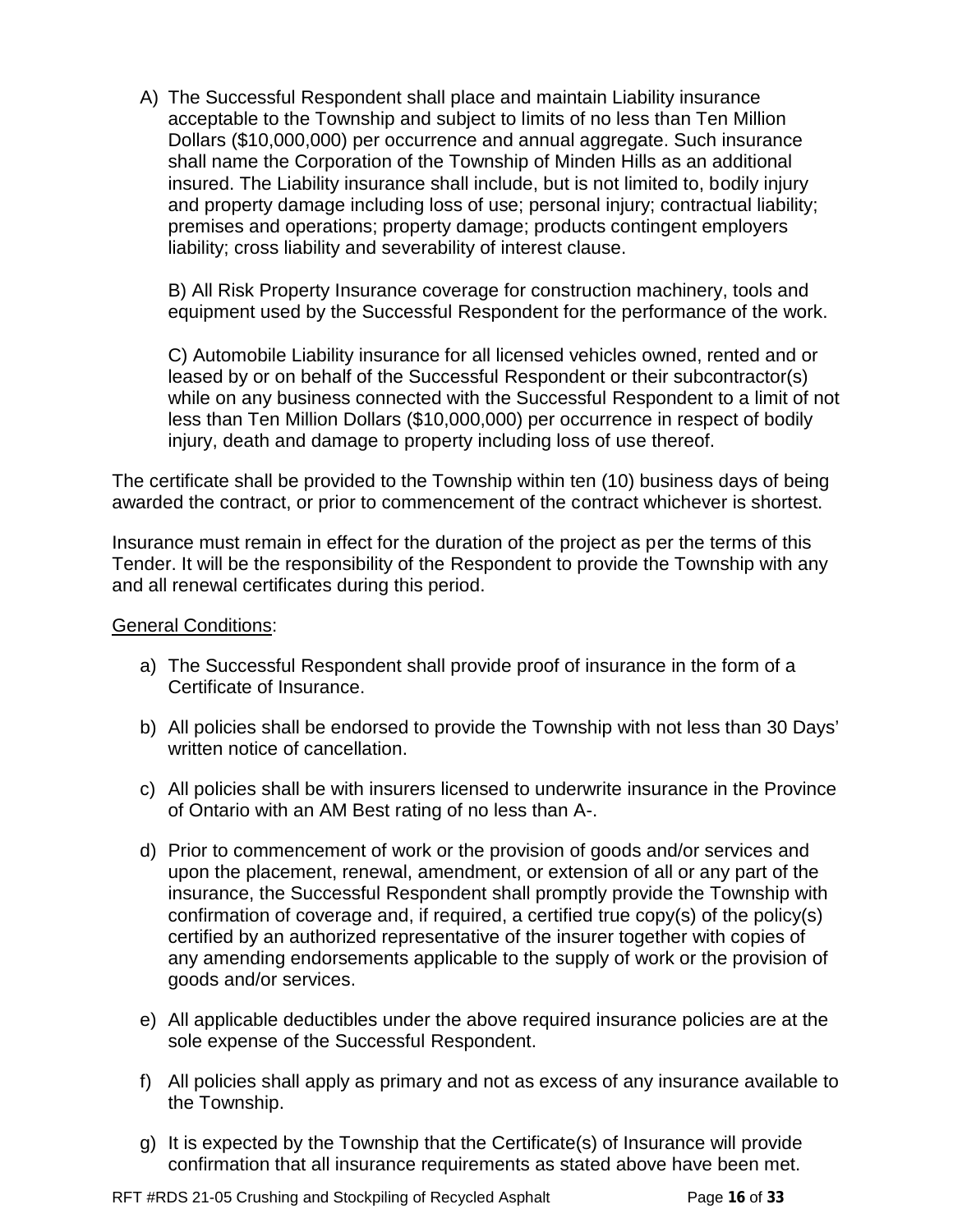A) The Successful Respondent shall place and maintain Liability insurance acceptable to the Township and subject to limits of no less than Ten Million Dollars (\$10,000,000) per occurrence and annual aggregate. Such insurance shall name the Corporation of the Township of Minden Hills as an additional insured. The Liability insurance shall include, but is not limited to, bodily injury and property damage including loss of use; personal injury; contractual liability; premises and operations; property damage; products contingent employers liability; cross liability and severability of interest clause.

B) All Risk Property Insurance coverage for construction machinery, tools and equipment used by the Successful Respondent for the performance of the work.

C) Automobile Liability insurance for all licensed vehicles owned, rented and or leased by or on behalf of the Successful Respondent or their subcontractor(s) while on any business connected with the Successful Respondent to a limit of not less than Ten Million Dollars (\$10,000,000) per occurrence in respect of bodily injury, death and damage to property including loss of use thereof.

The certificate shall be provided to the Township within ten (10) business days of being awarded the contract, or prior to commencement of the contract whichever is shortest.

Insurance must remain in effect for the duration of the project as per the terms of this Tender. It will be the responsibility of the Respondent to provide the Township with any and all renewal certificates during this period.

General Conditions:

- a) The Successful Respondent shall provide proof of insurance in the form of a Certificate of Insurance.
- b) All policies shall be endorsed to provide the Township with not less than 30 Days' written notice of cancellation.
- c) All policies shall be with insurers licensed to underwrite insurance in the Province of Ontario with an AM Best rating of no less than A-.
- d) Prior to commencement of work or the provision of goods and/or services and upon the placement, renewal, amendment, or extension of all or any part of the insurance, the Successful Respondent shall promptly provide the Township with confirmation of coverage and, if required, a certified true copy(s) of the policy(s) certified by an authorized representative of the insurer together with copies of any amending endorsements applicable to the supply of work or the provision of goods and/or services.
- e) All applicable deductibles under the above required insurance policies are at the sole expense of the Successful Respondent.
- f) All policies shall apply as primary and not as excess of any insurance available to the Township.
- g) It is expected by the Township that the Certificate(s) of Insurance will provide confirmation that all insurance requirements as stated above have been met.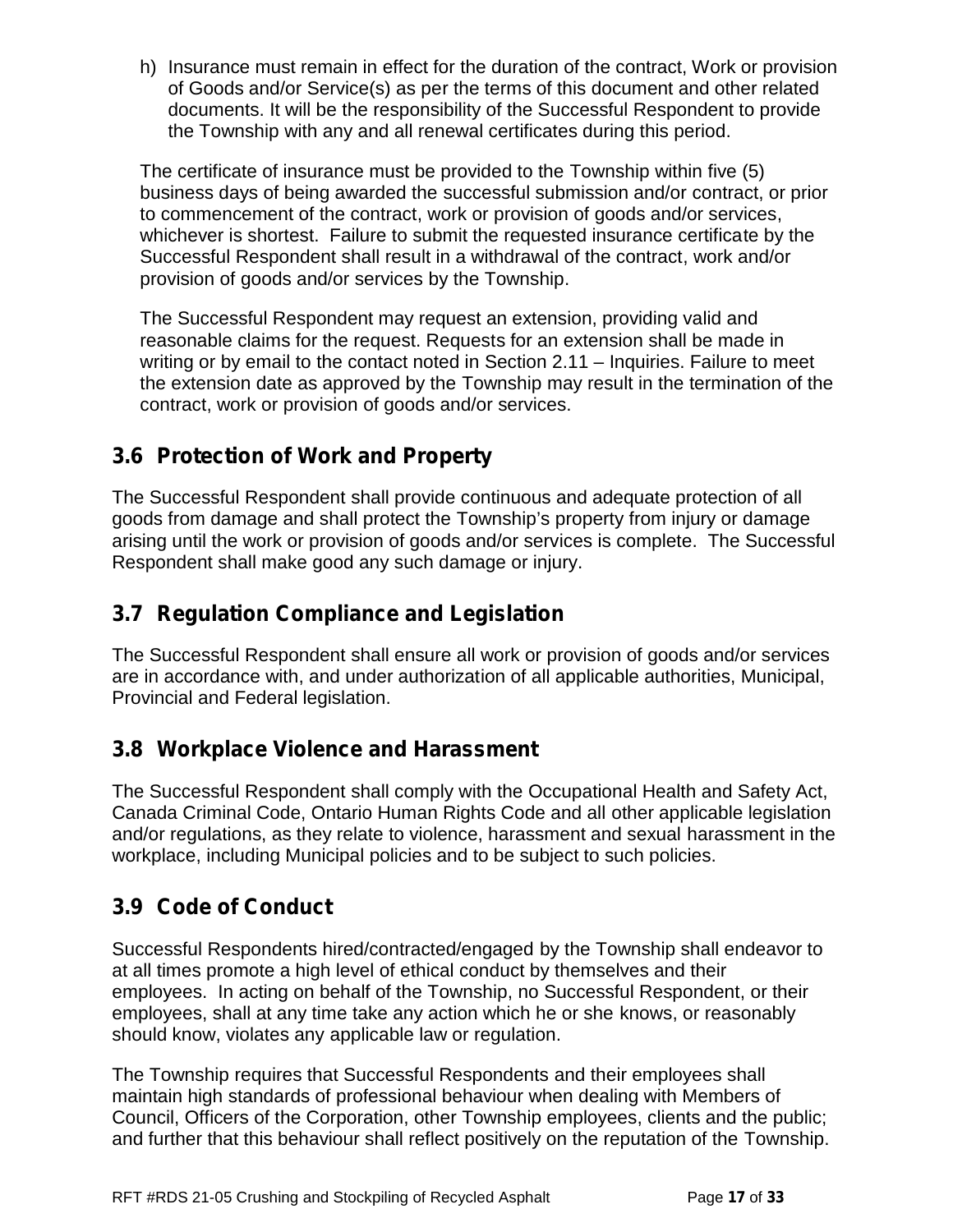h) Insurance must remain in effect for the duration of the contract, Work or provision of Goods and/or Service(s) as per the terms of this document and other related documents. It will be the responsibility of the Successful Respondent to provide the Township with any and all renewal certificates during this period.

The certificate of insurance must be provided to the Township within five (5) business days of being awarded the successful submission and/or contract, or prior to commencement of the contract, work or provision of goods and/or services, whichever is shortest. Failure to submit the requested insurance certificate by the Successful Respondent shall result in a withdrawal of the contract, work and/or provision of goods and/or services by the Township.

The Successful Respondent may request an extension, providing valid and reasonable claims for the request. Requests for an extension shall be made in writing or by email to the contact noted in Section 2.11 – Inquiries. Failure to meet the extension date as approved by the Township may result in the termination of the contract, work or provision of goods and/or services.

## **3.6 Protection of Work and Property**

The Successful Respondent shall provide continuous and adequate protection of all goods from damage and shall protect the Township's property from injury or damage arising until the work or provision of goods and/or services is complete. The Successful Respondent shall make good any such damage or injury.

## **3.7 Regulation Compliance and Legislation**

The Successful Respondent shall ensure all work or provision of goods and/or services are in accordance with, and under authorization of all applicable authorities, Municipal, Provincial and Federal legislation.

## **3.8 Workplace Violence and Harassment**

The Successful Respondent shall comply with the Occupational Health and Safety Act, Canada Criminal Code, Ontario Human Rights Code and all other applicable legislation and/or regulations, as they relate to violence, harassment and sexual harassment in the workplace, including Municipal policies and to be subject to such policies.

## **3.9 Code of Conduct**

Successful Respondents hired/contracted/engaged by the Township shall endeavor to at all times promote a high level of ethical conduct by themselves and their employees. In acting on behalf of the Township, no Successful Respondent, or their employees, shall at any time take any action which he or she knows, or reasonably should know, violates any applicable law or regulation.

The Township requires that Successful Respondents and their employees shall maintain high standards of professional behaviour when dealing with Members of Council, Officers of the Corporation, other Township employees, clients and the public; and further that this behaviour shall reflect positively on the reputation of the Township.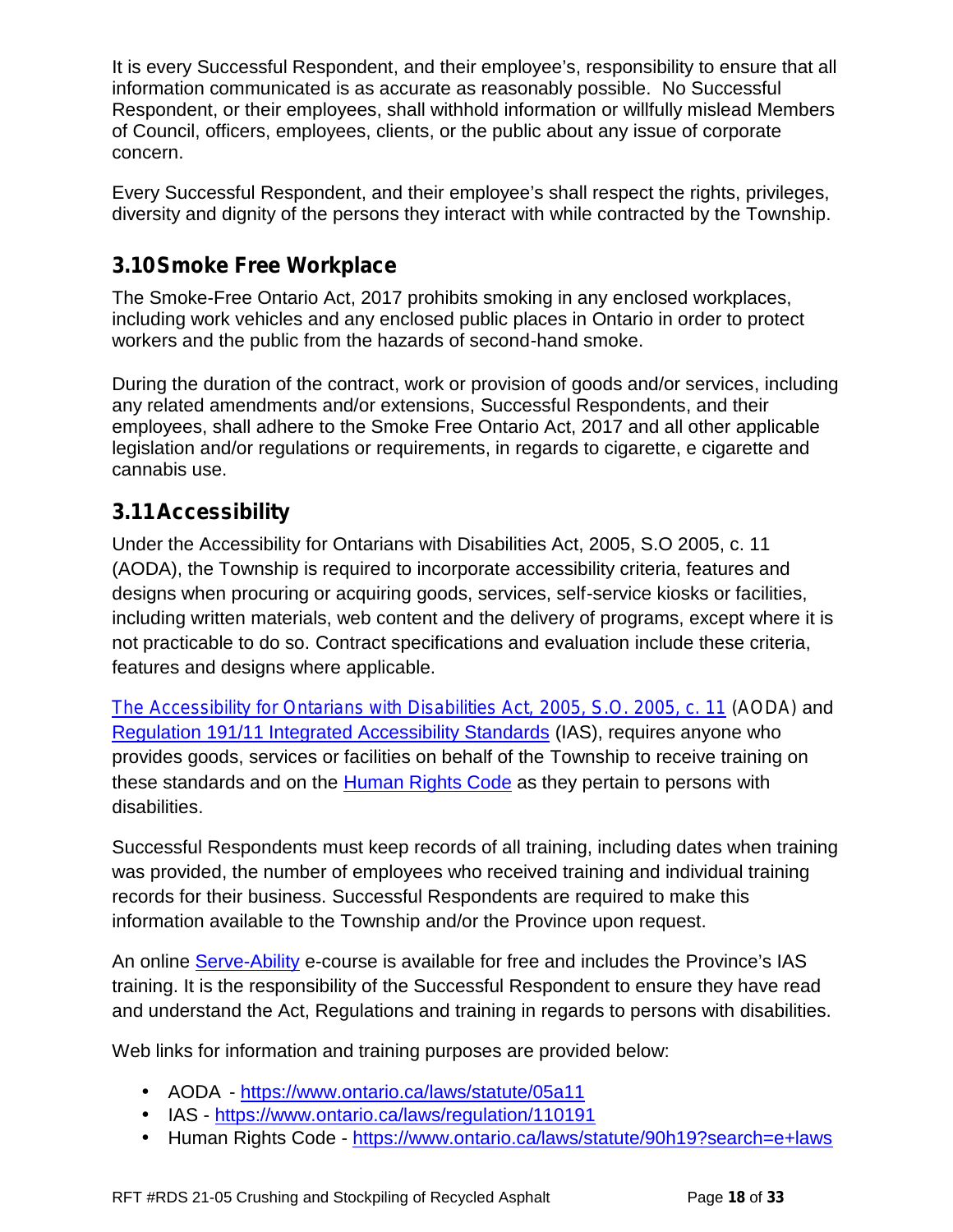It is every Successful Respondent, and their employee's, responsibility to ensure that all information communicated is as accurate as reasonably possible. No Successful Respondent, or their employees, shall withhold information or willfully mislead Members of Council, officers, employees, clients, or the public about any issue of corporate concern.

Every Successful Respondent, and their employee's shall respect the rights, privileges, diversity and dignity of the persons they interact with while contracted by the Township.

## **3.10Smoke Free Workplace**

The Smoke-Free Ontario Act, 2017 prohibits smoking in any enclosed workplaces, including work vehicles and any enclosed public places in Ontario in order to protect workers and the public from the hazards of second-hand smoke.

During the duration of the contract, work or provision of goods and/or services, including any related amendments and/or extensions, Successful Respondents, and their employees, shall adhere to the Smoke Free Ontario Act, 2017 and all other applicable legislation and/or regulations or requirements, in regards to cigarette, e cigarette and cannabis use.

## **3.11Accessibility**

Under the Accessibility for Ontarians with Disabilities Act, 2005, S.O 2005, c. 11 (AODA), the Township is required to incorporate accessibility criteria, features and designs when procuring or acquiring goods, services, self-service kiosks or facilities, including written materials, web content and the delivery of programs, except where it is not practicable to do so. Contract specifications and evaluation include these criteria, features and designs where applicable.

*The Accessibility for Ontarians with Disabilities Act, 2005, S.O. 2005, c. 11 (AODA)* and Regulation 191/11 Integrated Accessibility Standards (IAS), requires anyone who provides goods, services or facilities on behalf of the Township to receive training on these standards and on the Human Rights Code as they pertain to persons with disabilities.

Successful Respondents must keep records of all training, including dates when training was provided, the number of employees who received training and individual training records for their business. Successful Respondents are required to make this information available to the Township and/or the Province upon request.

An online Serve-Ability e-course is available for free and includes the Province's IAS training. It is the responsibility of the Successful Respondent to ensure they have read and understand the Act, Regulations and training in regards to persons with disabilities.

Web links for information and training purposes are provided below:

AODA - https://www.ontario.ca/laws/statute/05a11

- IAS https://www.ontario.ca/laws/regulation/110191
- Human Rights Code https://www.ontario.ca/laws/statute/90h19?search=e+laws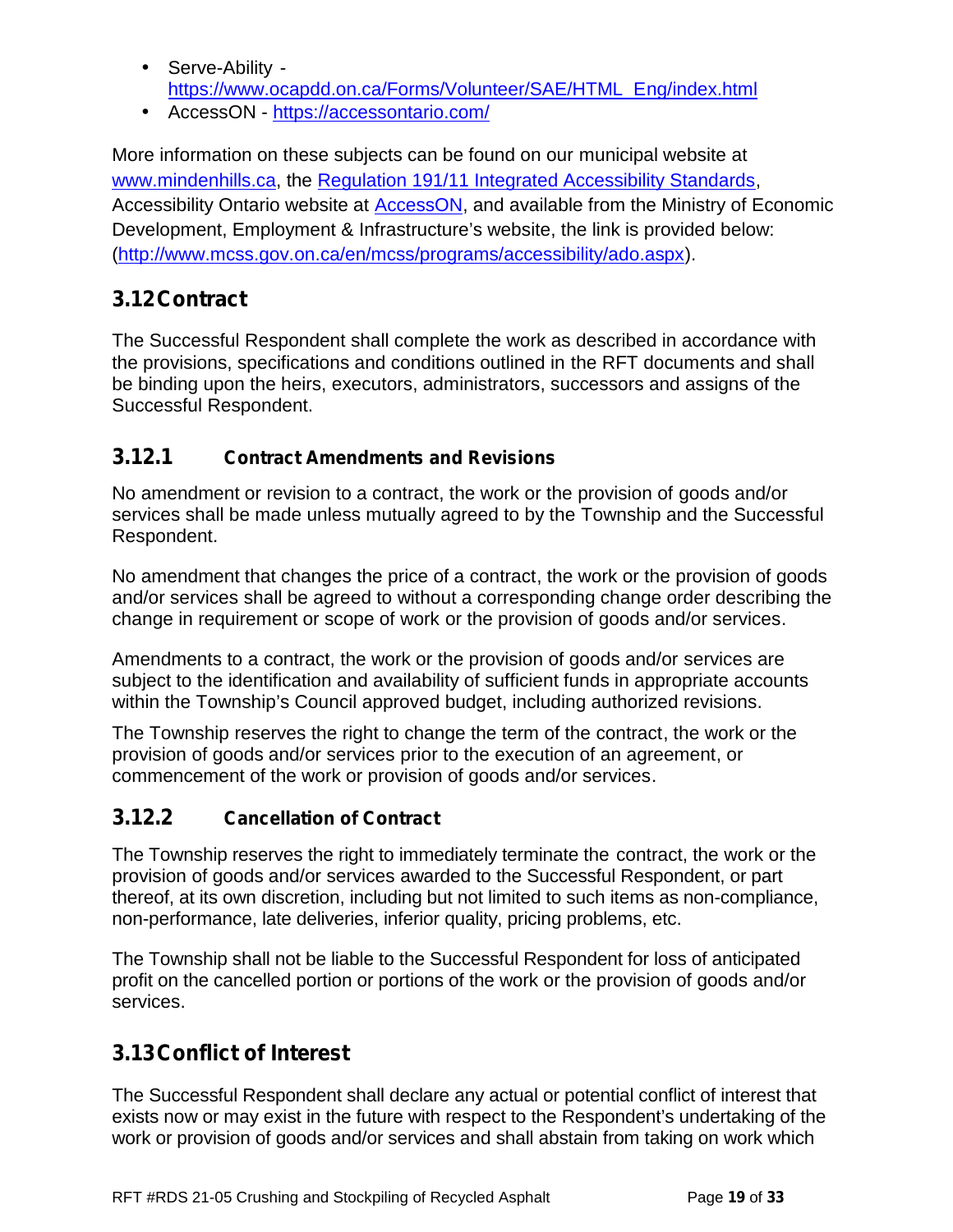Serve-Ability https://www.ocapdd.on.ca/Forms/Volunteer/SAE/HTML\_Eng/index.html AccessON - https://accessontario.com/

More information on these subjects can be found on our municipal website at www.mindenhills.ca, the Regulation 191/11 Integrated Accessibility Standards, Accessibility Ontario website at **AccessON**, and available from the Ministry of Economic Development, Employment & Infrastructure's website, the link is provided below: (http://www.mcss.gov.on.ca/en/mcss/programs/accessibility/ado.aspx).

## **3.12Contract**

The Successful Respondent shall complete the work as described in accordance with the provisions, specifications and conditions outlined in the RFT documents and shall be binding upon the heirs, executors, administrators, successors and assigns of the Successful Respondent.

#### **3.12.1 Contract Amendments and Revisions**

No amendment or revision to a contract, the work or the provision of goods and/or services shall be made unless mutually agreed to by the Township and the Successful Respondent.

No amendment that changes the price of a contract, the work or the provision of goods and/or services shall be agreed to without a corresponding change order describing the change in requirement or scope of work or the provision of goods and/or services.

Amendments to a contract, the work or the provision of goods and/or services are subject to the identification and availability of sufficient funds in appropriate accounts within the Township's Council approved budget, including authorized revisions.

The Township reserves the right to change the term of the contract, the work or the provision of goods and/or services prior to the execution of an agreement, or commencement of the work or provision of goods and/or services.

### **3.12.2 Cancellation of Contract**

The Township reserves the right to immediately terminate the contract, the work or the provision of goods and/or services awarded to the Successful Respondent, or part thereof, at its own discretion, including but not limited to such items as non-compliance, non-performance, late deliveries, inferior quality, pricing problems, etc.

The Township shall not be liable to the Successful Respondent for loss of anticipated profit on the cancelled portion or portions of the work or the provision of goods and/or services.

## **3.13Conflict of Interest**

The Successful Respondent shall declare any actual or potential conflict of interest that exists now or may exist in the future with respect to the Respondent's undertaking of the work or provision of goods and/or services and shall abstain from taking on work which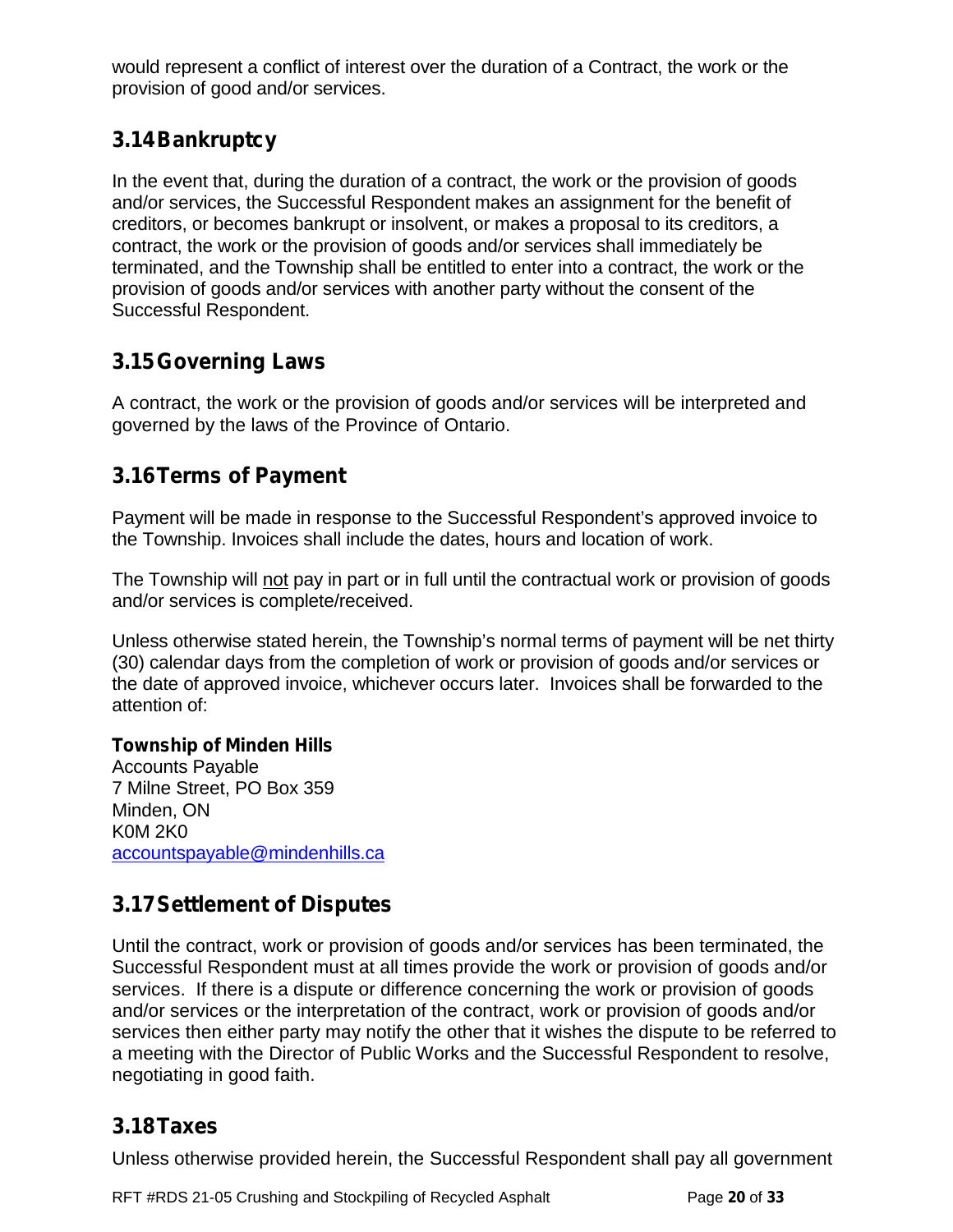would represent a conflict of interest over the duration of a Contract, the work or the provision of good and/or services.

### **3.14Bankruptcy**

In the event that, during the duration of a contract, the work or the provision of goods and/or services, the Successful Respondent makes an assignment for the benefit of creditors, or becomes bankrupt or insolvent, or makes a proposal to its creditors, a contract, the work or the provision of goods and/or services shall immediately be terminated, and the Township shall be entitled to enter into a contract, the work or the provision of goods and/or services with another party without the consent of the Successful Respondent.

### **3.15Governing Laws**

A contract, the work or the provision of goods and/or services will be interpreted and governed by the laws of the Province of Ontario.

### **3.16Terms of Payment**

Payment will be made in response to the Successful Respondent's approved invoice to the Township. Invoices shall include the dates, hours and location of work.

The Township will not pay in part or in full until the contractual work or provision of goods and/or services is complete/received.

Unless otherwise stated herein, the Township's normal terms of payment will be net thirty (30) calendar days from the completion of work or provision of goods and/or services or the date of approved invoice, whichever occurs later. Invoices shall be forwarded to the attention of:

#### **Township of Minden Hills**

Accounts Payable 7 Milne Street, PO Box 359 Minden, ON K0M 2K0 accountspayable@mindenhills.ca

## **3.17Settlement of Disputes**

Until the contract, work or provision of goods and/or services has been terminated, the Successful Respondent must at all times provide the work or provision of goods and/or services. If there is a dispute or difference concerning the work or provision of goods and/or services or the interpretation of the contract, work or provision of goods and/or services then either party may notify the other that it wishes the dispute to be referred to a meeting with the Director of Public Works and the Successful Respondent to resolve, negotiating in good faith.

#### **3.18Taxes**

Unless otherwise provided herein, the Successful Respondent shall pay all government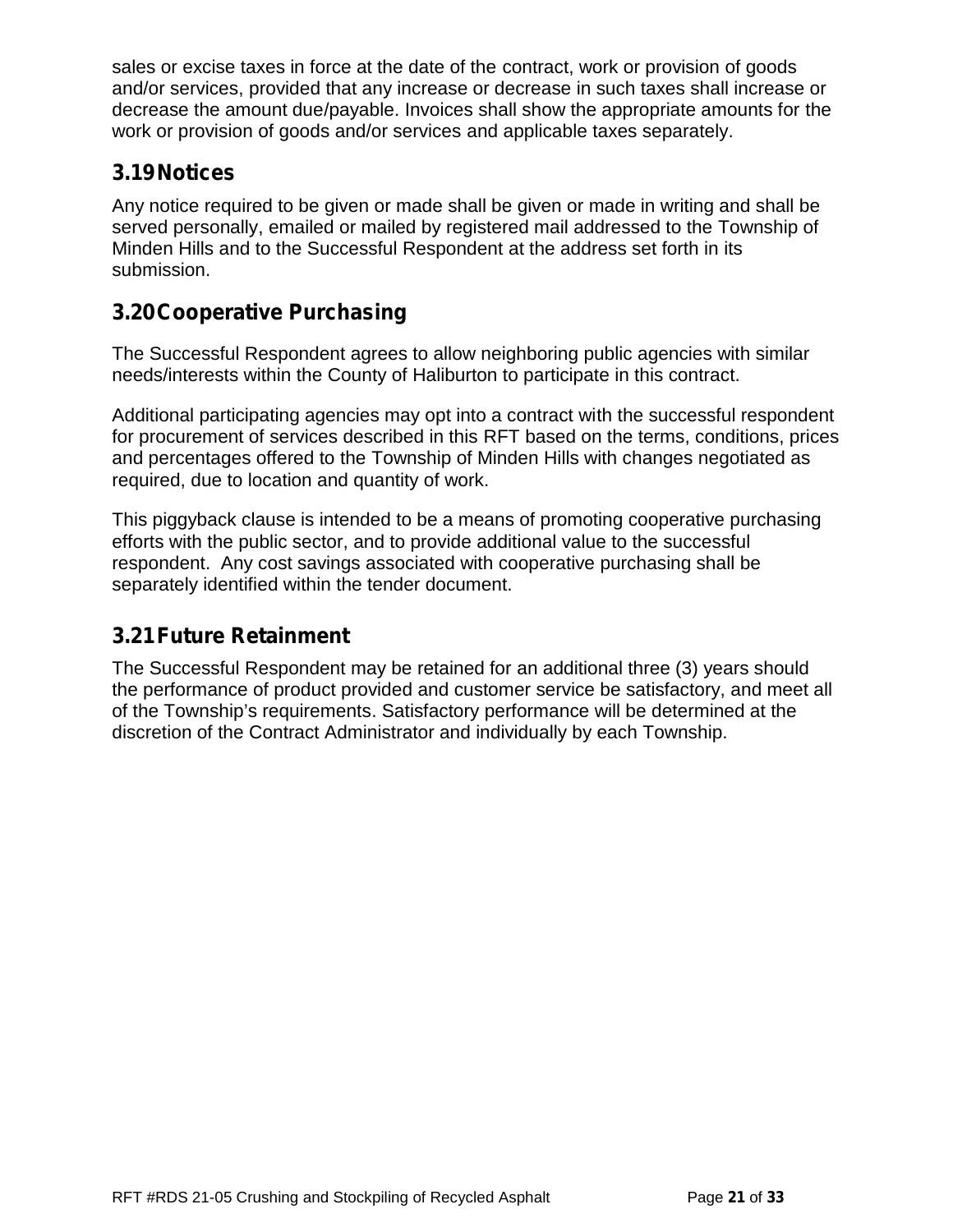sales or excise taxes in force at the date of the contract, work or provision of goods and/or services, provided that any increase or decrease in such taxes shall increase or decrease the amount due/payable. Invoices shall show the appropriate amounts for the work or provision of goods and/or services and applicable taxes separately.

### **3.19Notices**

Any notice required to be given or made shall be given or made in writing and shall be served personally, emailed or mailed by registered mail addressed to the Township of Minden Hills and to the Successful Respondent at the address set forth in its submission.

### **3.20Cooperative Purchasing**

The Successful Respondent agrees to allow neighboring public agencies with similar needs/interests within the County of Haliburton to participate in this contract.

Additional participating agencies may opt into a contract with the successful respondent for procurement of services described in this RFT based on the terms, conditions, prices and percentages offered to the Township of Minden Hills with changes negotiated as required, due to location and quantity of work.

This piggyback clause is intended to be a means of promoting cooperative purchasing efforts with the public sector, and to provide additional value to the successful respondent. Any cost savings associated with cooperative purchasing shall be separately identified within the tender document.

## **3.21Future Retainment**

The Successful Respondent may be retained for an additional three (3) years should the performance of product provided and customer service be satisfactory, and meet all of the Township's requirements. Satisfactory performance will be determined at the discretion of the Contract Administrator and individually by each Township.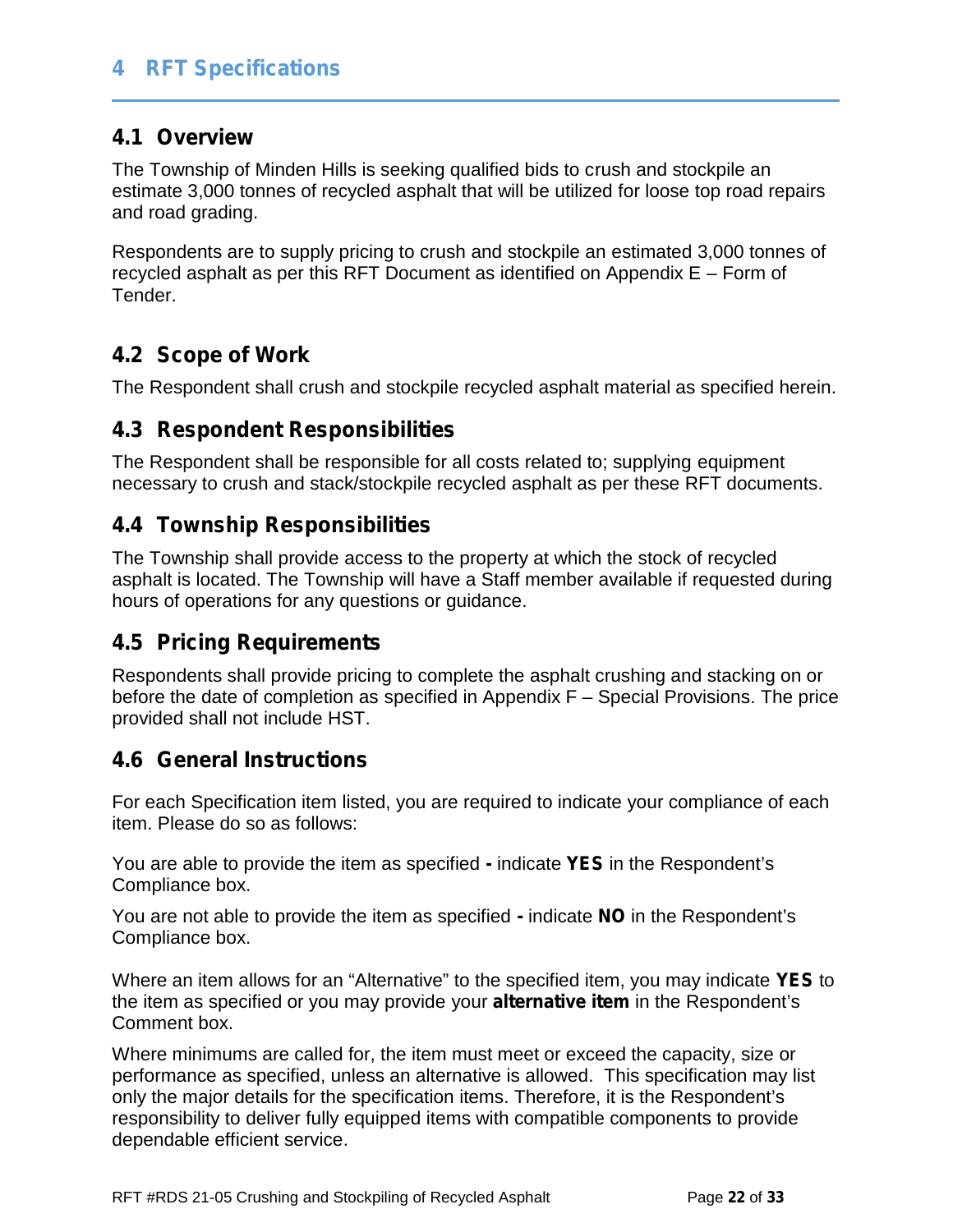### **4 RFT Specifications**

#### **4.1 Overview**

The Township of Minden Hills is seeking qualified bids to crush and stockpile an estimate 3,000 tonnes of recycled asphalt that will be utilized for loose top road repairs and road grading.

Respondents are to supply pricing to crush and stockpile an estimated 3,000 tonnes of recycled asphalt as per this RFT Document as identified on Appendix E – Form of Tender.

### **4.2 Scope of Work**

The Respondent shall crush and stockpile recycled asphalt material as specified herein.

#### **4.3 Respondent Responsibilities**

The Respondent shall be responsible for all costs related to; supplying equipment necessary to crush and stack/stockpile recycled asphalt as per these RFT documents.

### **4.4 Township Responsibilities**

The Township shall provide access to the property at which the stock of recycled asphalt is located. The Township will have a Staff member available if requested during hours of operations for any questions or guidance.

#### **4.5 Pricing Requirements**

Respondents shall provide pricing to complete the asphalt crushing and stacking on or before the date of completion as specified in Appendix F – Special Provisions. The price provided shall not include HST.

#### **4.6 General Instructions**

For each Specification item listed, you are required to indicate your compliance of each item. Please do so as follows:

You are able to provide the item as specified **-** indicate **YES** in the Respondent's Compliance box.

You are not able to provide the item as specified **-** indicate **NO** in the Respondent's Compliance box.

Where an item allows for an "Alternative" to the specified item, you may indicate **YES** to the item as specified or you may provide your **alternative item** in the Respondent's Comment box.

Where minimums are called for, the item must meet or exceed the capacity, size or performance as specified, unless an alternative is allowed. This specification may list only the major details for the specification items. Therefore, it is the Respondent's responsibility to deliver fully equipped items with compatible components to provide dependable efficient service.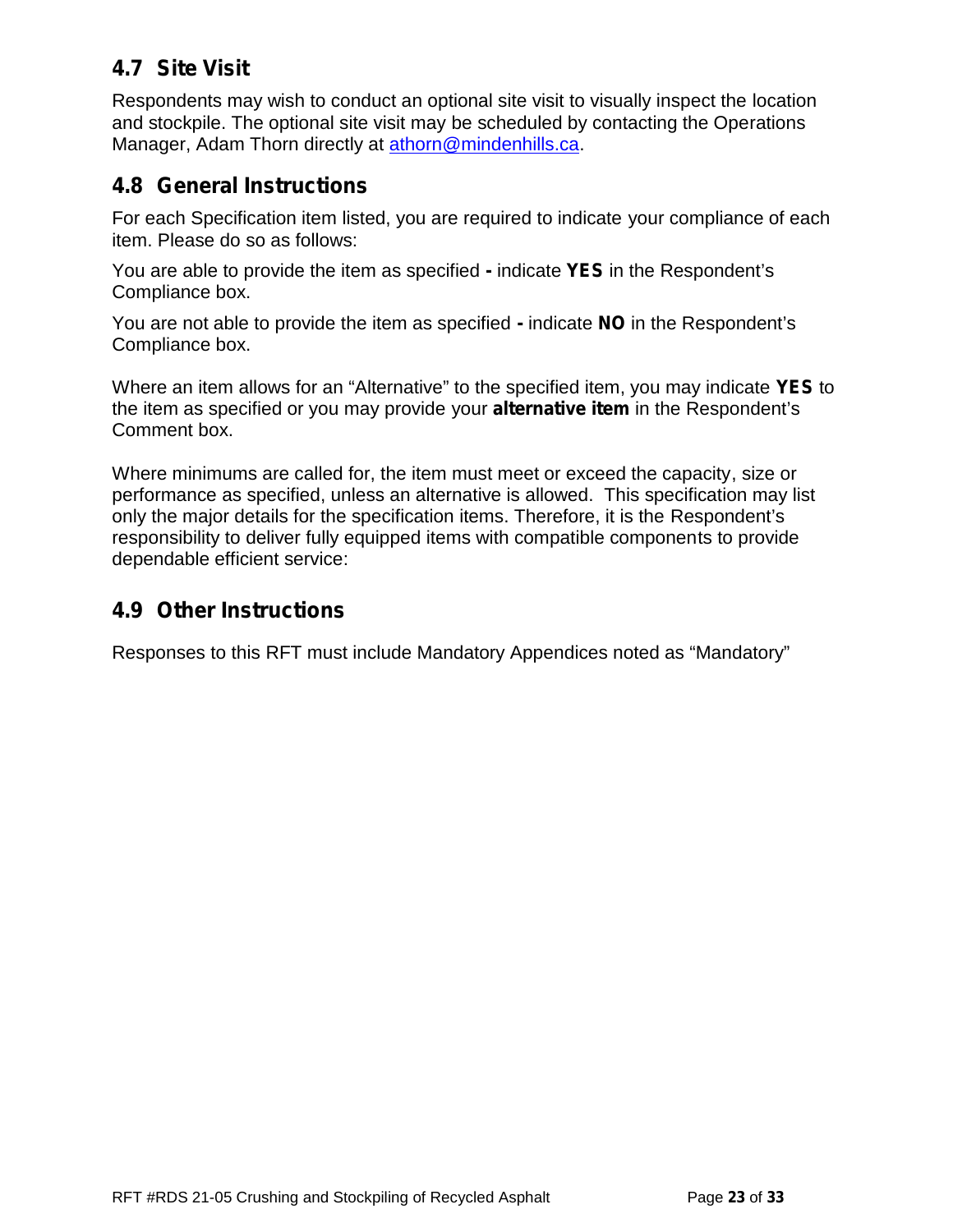### **4.7 Site Visit**

Respondents may wish to conduct an optional site visit to visually inspect the location and stockpile. The optional site visit may be scheduled by contacting the Operations Manager, Adam Thorn directly at athorn@mindenhills.ca.

### **4.8 General Instructions**

For each Specification item listed, you are required to indicate your compliance of each item. Please do so as follows:

You are able to provide the item as specified **-** indicate **YES** in the Respondent's Compliance box.

You are not able to provide the item as specified **-** indicate **NO** in the Respondent's Compliance box.

Where an item allows for an "Alternative" to the specified item, you may indicate **YES** to the item as specified or you may provide your **alternative item** in the Respondent's Comment box.

Where minimums are called for, the item must meet or exceed the capacity, size or performance as specified, unless an alternative is allowed. This specification may list only the major details for the specification items. Therefore, it is the Respondent's responsibility to deliver fully equipped items with compatible components to provide dependable efficient service:

### **4.9 Other Instructions**

Responses to this RFT must include Mandatory Appendices noted as "Mandatory"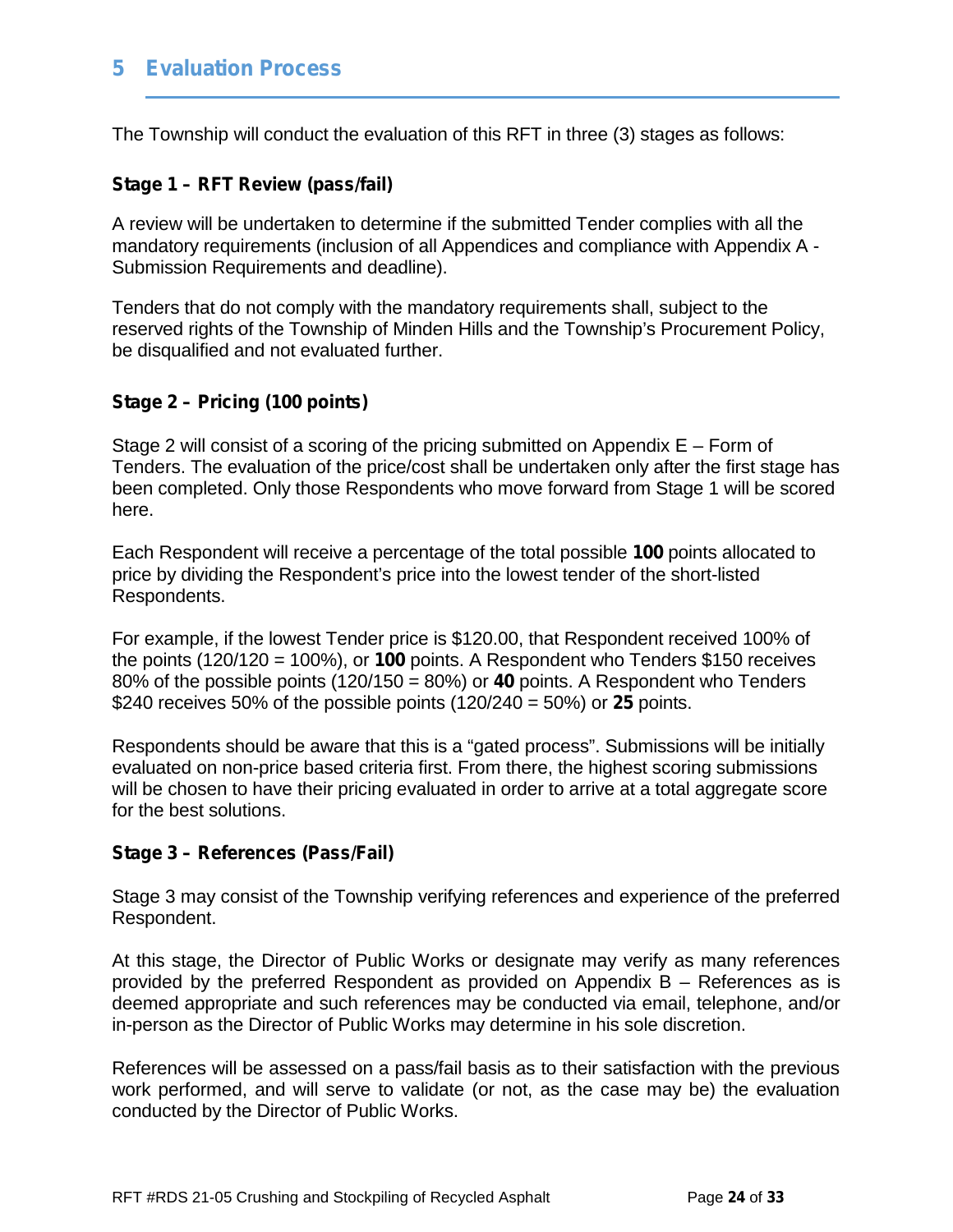#### **5 Evaluation Process**

The Township will conduct the evaluation of this RFT in three (3) stages as follows:

#### **Stage 1 – RFT Review (pass/fail)**

A review will be undertaken to determine if the submitted Tender complies with all the mandatory requirements (inclusion of all Appendices and compliance with Appendix A - Submission Requirements and deadline).

Tenders that do not comply with the mandatory requirements shall, subject to the reserved rights of the Township of Minden Hills and the Township's Procurement Policy, be disqualified and not evaluated further.

#### **Stage 2 – Pricing (100 points)**

Stage 2 will consist of a scoring of the pricing submitted on Appendix  $E - Form$  of Tenders. The evaluation of the price/cost shall be undertaken only after the first stage has been completed. Only those Respondents who move forward from Stage 1 will be scored here.

Each Respondent will receive a percentage of the total possible **100** points allocated to price by dividing the Respondent's price into the lowest tender of the short-listed Respondents.

For example, if the lowest Tender price is \$120.00, that Respondent received 100% of the points (120/120 = 100%), or **100** points. A Respondent who Tenders \$150 receives 80% of the possible points (120/150 = 80%) or **40** points. A Respondent who Tenders \$240 receives 50% of the possible points (120/240 = 50%) or **25** points.

Respondents should be aware that this is a "gated process". Submissions will be initially evaluated on non-price based criteria first. From there, the highest scoring submissions will be chosen to have their pricing evaluated in order to arrive at a total aggregate score for the best solutions.

#### **Stage 3 – References (Pass/Fail)**

Stage 3 may consist of the Township verifying references and experience of the preferred Respondent.

At this stage, the Director of Public Works or designate may verify as many references provided by the preferred Respondent as provided on Appendix B – References as is deemed appropriate and such references may be conducted via email, telephone, and/or in-person as the Director of Public Works may determine in his sole discretion.

References will be assessed on a pass/fail basis as to their satisfaction with the previous work performed, and will serve to validate (or not, as the case may be) the evaluation conducted by the Director of Public Works.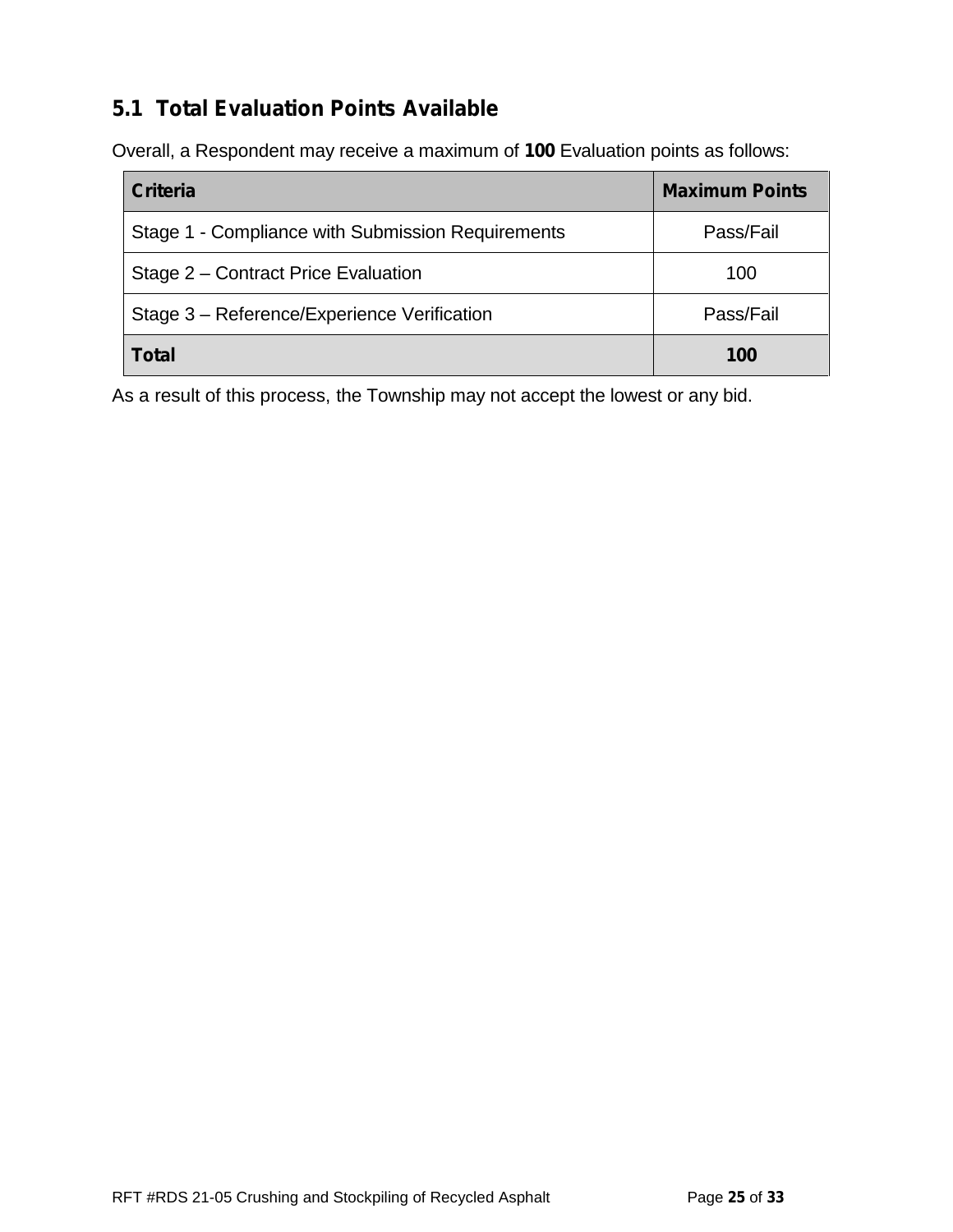## **5.1 Total Evaluation Points Available**

Overall, a Respondent may receive a maximum of **100** Evaluation points as follows:

| <b>Criteria</b>                                   | <b>Maximum Points</b> |
|---------------------------------------------------|-----------------------|
| Stage 1 - Compliance with Submission Requirements | Pass/Fail             |
| Stage 2 – Contract Price Evaluation               | 100                   |
| Stage 3 – Reference/Experience Verification       | Pass/Fail             |
| <b>Total</b>                                      | 100                   |

As a result of this process, the Township may not accept the lowest or any bid.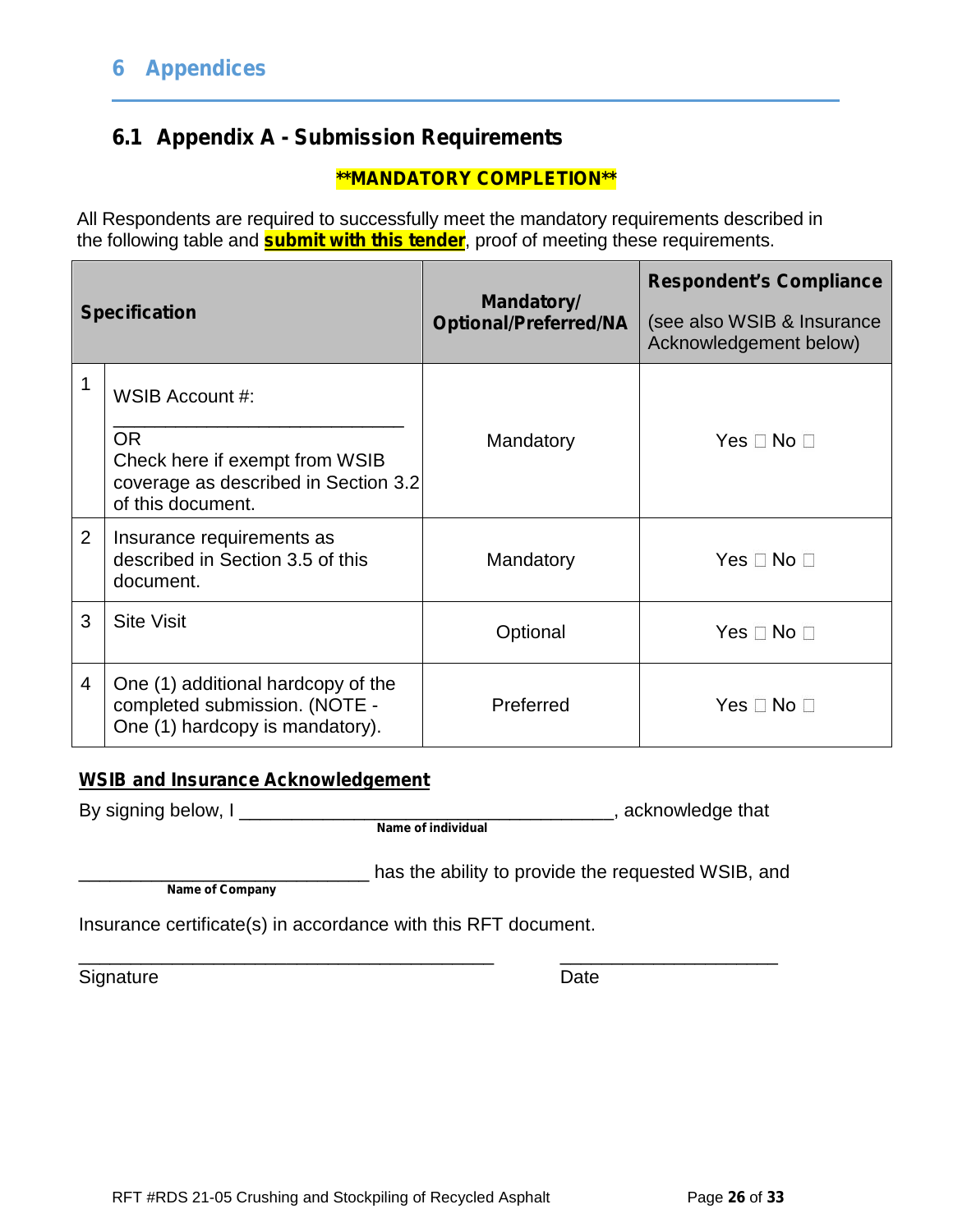## **6.1 Appendix A - Submission Requirements**

#### **\*\*MANDATORY COMPLETION\*\***

All Respondents are required to successfully meet the mandatory requirements described in the following table and **submit with this tender**, proof of meeting these requirements.

|                | <b>Specification</b>                                                                                                        | Mandatory/<br><b>Optional/Preferred/NA</b> | <b>Respondent's Compliance</b><br>(see also WSIB & Insurance<br>Acknowledgement below) |  |
|----------------|-----------------------------------------------------------------------------------------------------------------------------|--------------------------------------------|----------------------------------------------------------------------------------------|--|
| 1              | WSIB Account #:<br><b>OR</b><br>Check here if exempt from WSIB<br>coverage as described in Section 3.2<br>of this document. | Mandatory                                  | Yes $\Box$ No $\Box$                                                                   |  |
| 2              | Insurance requirements as<br>described in Section 3.5 of this<br>document.                                                  | Mandatory                                  | $Yes \Box No \Box$                                                                     |  |
| 3              | <b>Site Visit</b>                                                                                                           | Optional                                   | Yes $\Box$ No $\Box$                                                                   |  |
| $\overline{4}$ | One (1) additional hardcopy of the<br>completed submission. (NOTE -<br>One (1) hardcopy is mandatory).                      | Preferred                                  | Yes $\square$ No $\square$                                                             |  |

#### **WSIB and Insurance Acknowledgement**

By signing below, I \_\_\_\_\_\_\_\_\_\_\_\_\_\_\_\_\_\_\_\_\_\_\_\_\_\_\_\_\_\_\_\_\_\_\_\_, acknowledge that

**Name of individual**

**Name of Company**

has the ability to provide the requested WSIB, and

Insurance certificate(s) in accordance with this RFT document.

\_\_\_\_\_\_\_\_\_\_\_\_\_\_\_\_\_\_\_\_\_\_\_\_\_\_\_\_\_\_\_\_\_\_\_\_\_\_\_\_ \_\_\_\_\_\_\_\_\_\_\_\_\_\_\_\_\_\_\_\_\_ Signature Date Date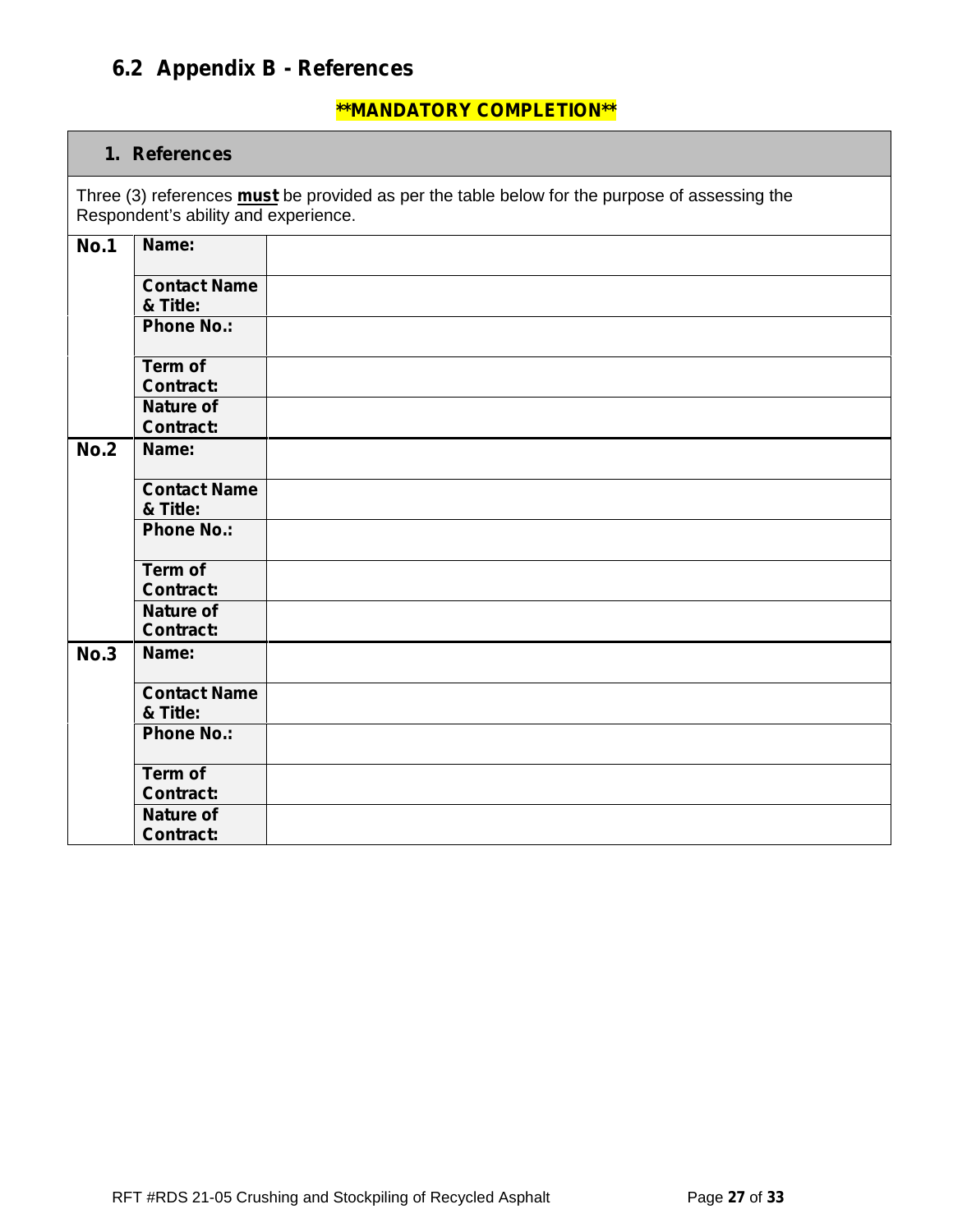## **6.2 Appendix B - References**

#### **\*\*MANDATORY COMPLETION\*\***

#### **1. References**

Three (3) references **must** be provided as per the table below for the purpose of assessing the Respondent's ability and experience.

| <b>No.1</b> | Name:               |  |
|-------------|---------------------|--|
|             | <b>Contact Name</b> |  |
|             | & Title:            |  |
|             | <b>Phone No.:</b>   |  |
|             | Term of             |  |
|             | <b>Contract:</b>    |  |
|             | <b>Nature of</b>    |  |
|             | <b>Contract:</b>    |  |
| <b>No.2</b> | Name:               |  |
|             | <b>Contact Name</b> |  |
|             | & Title:            |  |
|             | <b>Phone No.:</b>   |  |
|             | Term of             |  |
|             | <b>Contract:</b>    |  |
|             | <b>Nature of</b>    |  |
|             | <b>Contract:</b>    |  |
| <b>No.3</b> | Name:               |  |
|             | <b>Contact Name</b> |  |
|             | & Title:            |  |
|             | <b>Phone No.:</b>   |  |
|             | Term of             |  |
|             | <b>Contract:</b>    |  |
|             | <b>Nature of</b>    |  |
|             | <b>Contract:</b>    |  |
|             |                     |  |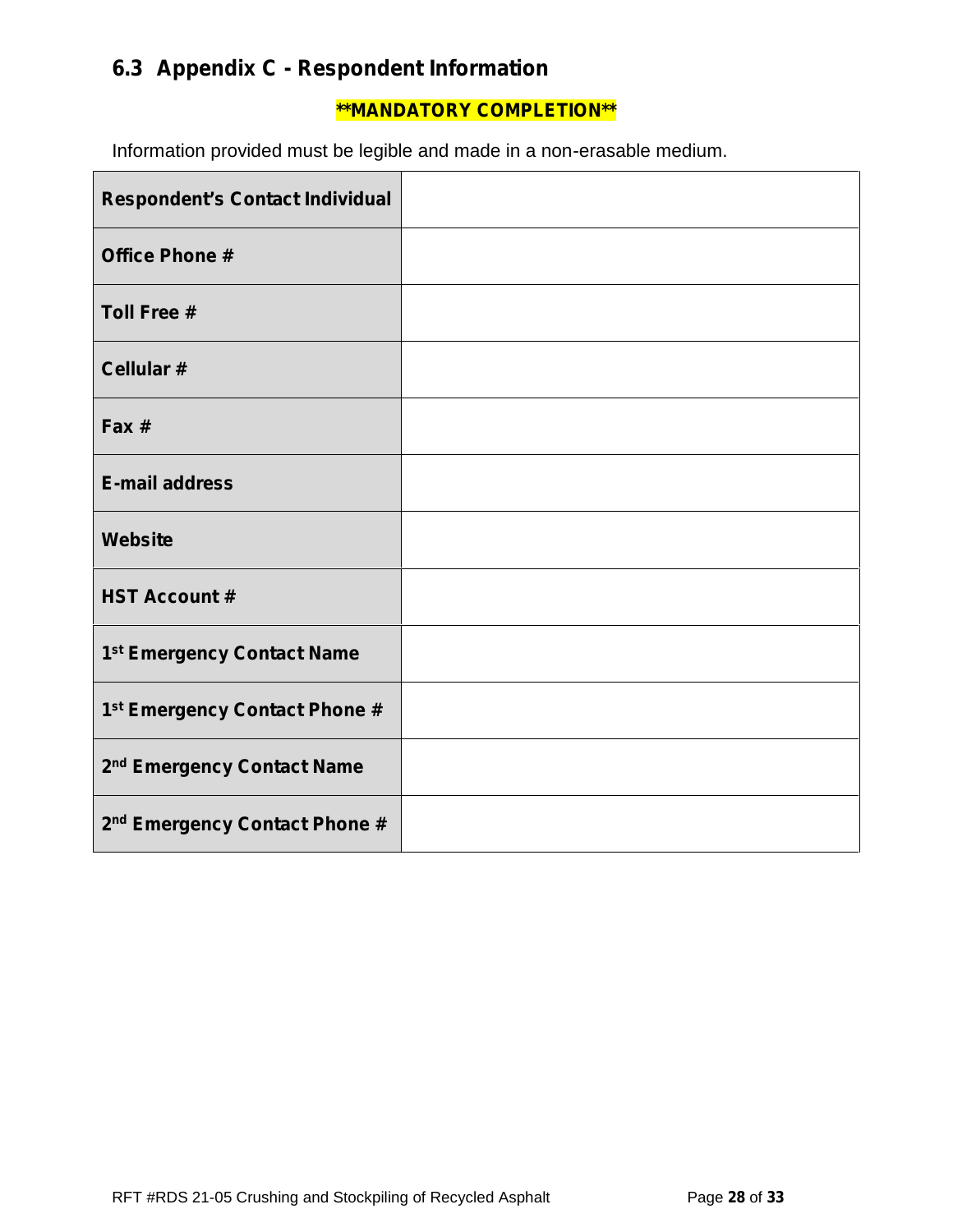# **6.3 Appendix C - Respondent Information**

#### **\*\*MANDATORY COMPLETION\*\***

Information provided must be legible and made in a non-erasable medium.

| <b>Respondent's Contact Individual</b>    |  |
|-------------------------------------------|--|
| <b>Office Phone #</b>                     |  |
| <b>Toll Free #</b>                        |  |
| Cellular #                                |  |
| Fax #                                     |  |
| <b>E-mail address</b>                     |  |
| Website                                   |  |
| <b>HST Account #</b>                      |  |
| 1 <sup>st</sup> Emergency Contact Name    |  |
| 1 <sup>st</sup> Emergency Contact Phone # |  |
| 2 <sup>nd</sup> Emergency Contact Name    |  |
| 2 <sup>nd</sup> Emergency Contact Phone # |  |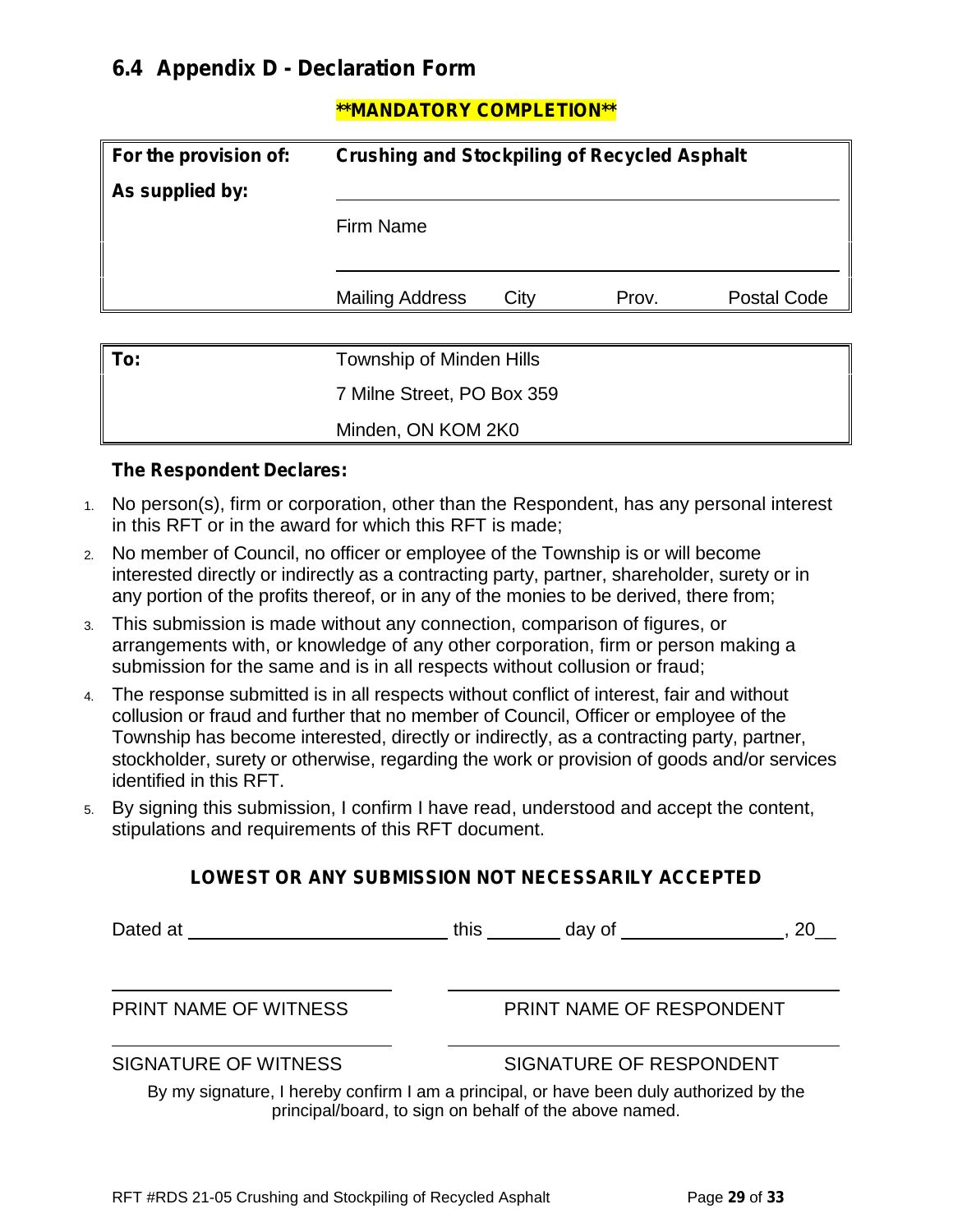### **6.4 Appendix D - Declaration Form**

#### **\*\*MANDATORY COMPLETION\*\***

| For the provision of:<br><b>Crushing and Stockpiling of Recycled Asphalt</b> |                                 |      |       |                    |
|------------------------------------------------------------------------------|---------------------------------|------|-------|--------------------|
| As supplied by:                                                              |                                 |      |       |                    |
|                                                                              | Firm Name                       |      |       |                    |
|                                                                              | <b>Mailing Address</b>          | City | Prov. | <b>Postal Code</b> |
| To:                                                                          | <b>Township of Minden Hills</b> |      |       |                    |
|                                                                              | 7 Milne Street, PO Box 359      |      |       |                    |
|                                                                              | Minden, ON KOM 2K0              |      |       |                    |

#### **The Respondent Declares:**

- 1. No person(s), firm or corporation, other than the Respondent, has any personal interest in this RFT or in the award for which this RFT is made;
- 2. No member of Council, no officer or employee of the Township is or will become interested directly or indirectly as a contracting party, partner, shareholder, surety or in any portion of the profits thereof, or in any of the monies to be derived, there from;
- 3. This submission is made without any connection, comparison of figures, or arrangements with, or knowledge of any other corporation, firm or person making a submission for the same and is in all respects without collusion or fraud;
- 4. The response submitted is in all respects without conflict of interest, fair and without collusion or fraud and further that no member of Council, Officer or employee of the Township has become interested, directly or indirectly, as a contracting party, partner, stockholder, surety or otherwise, regarding the work or provision of goods and/or services identified in this RFT.
- 5. By signing this submission, I confirm I have read, understood and accept the content, stipulations and requirements of this RFT document.

#### **LOWEST OR ANY SUBMISSION NOT NECESSARILY ACCEPTED**

| Dated at the contract of the contract of the contract of the contract of the contract of the contract of the contract of the contract of the contract of the contract of the contract of the contract of the contract of the c | this<br>day of the control of the control of the control of the control of the control of the control of the control o<br>20 L                    |
|--------------------------------------------------------------------------------------------------------------------------------------------------------------------------------------------------------------------------------|---------------------------------------------------------------------------------------------------------------------------------------------------|
| <b>PRINT NAME OF WITNESS</b>                                                                                                                                                                                                   | PRINT NAME OF RESPONDENT                                                                                                                          |
| <b>SIGNATURE OF WITNESS</b>                                                                                                                                                                                                    | SIGNATURE OF RESPONDENT                                                                                                                           |
|                                                                                                                                                                                                                                | By my signature, I hereby confirm I am a principal, or have been duly authorized by the<br>principal/board, to sign on behalf of the above named. |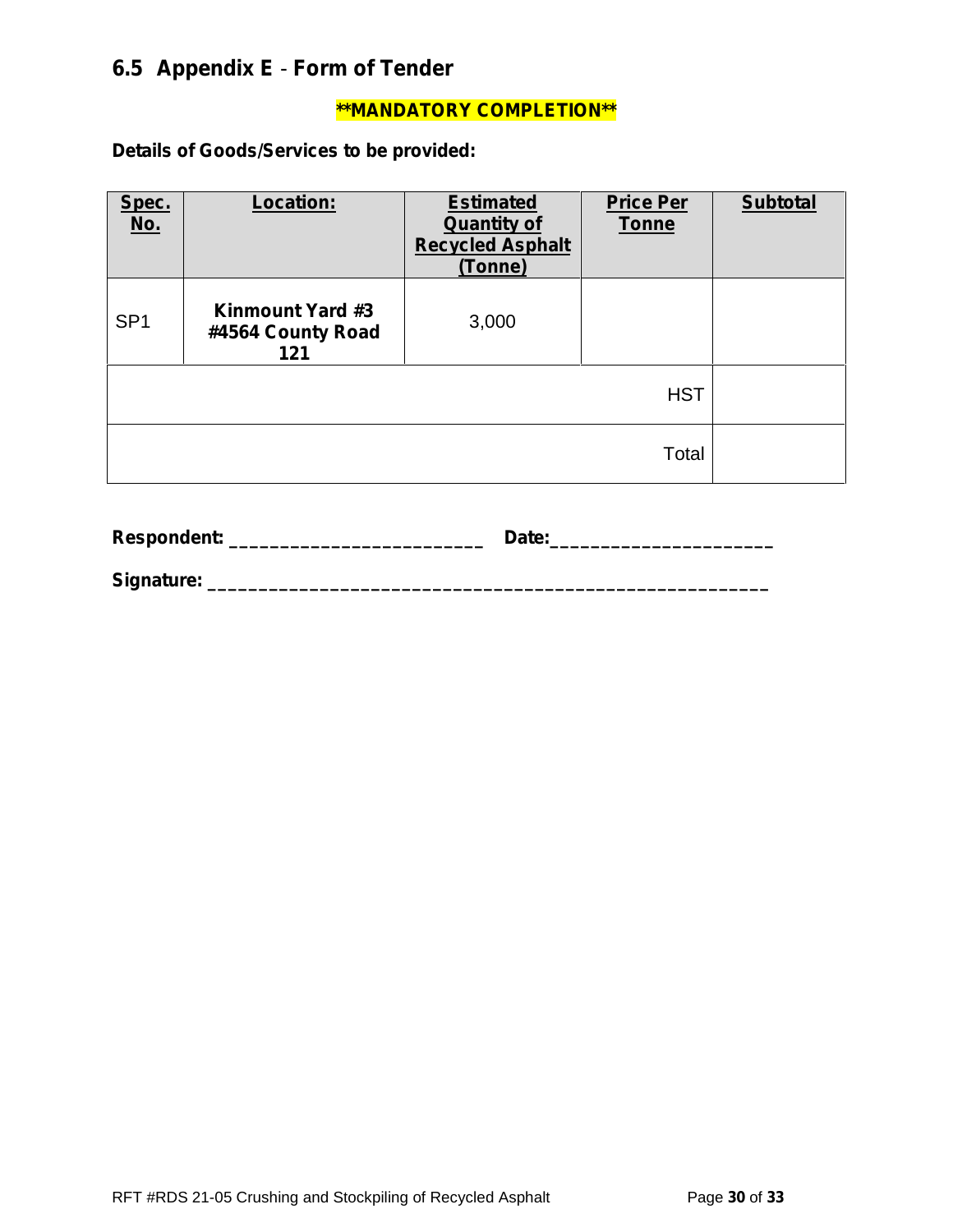# **6.5 Appendix E** - **Form of Tender**

#### **\*\*MANDATORY COMPLETION\*\***

**Details of Goods/Services to be provided:**

| Spec.<br><u>No.</u> | Location:                                           | <b>Estimated</b><br><b>Quantity of</b><br><b>Recycled Asphalt</b><br>(Tonne) | <b>Price Per</b><br><b>Tonne</b> | <b>Subtotal</b> |
|---------------------|-----------------------------------------------------|------------------------------------------------------------------------------|----------------------------------|-----------------|
| SP <sub>1</sub>     | <b>Kinmount Yard #3</b><br>#4564 County Road<br>121 | 3,000                                                                        |                                  |                 |
|                     |                                                     |                                                                              | <b>HST</b>                       |                 |
|                     |                                                     |                                                                              | Total                            |                 |

| Respondent: | Date: |
|-------------|-------|
| Signature:  |       |

RFT #RDS 21-05 Crushing and Stockpiling of Recycled Asphalt Page 30 of 33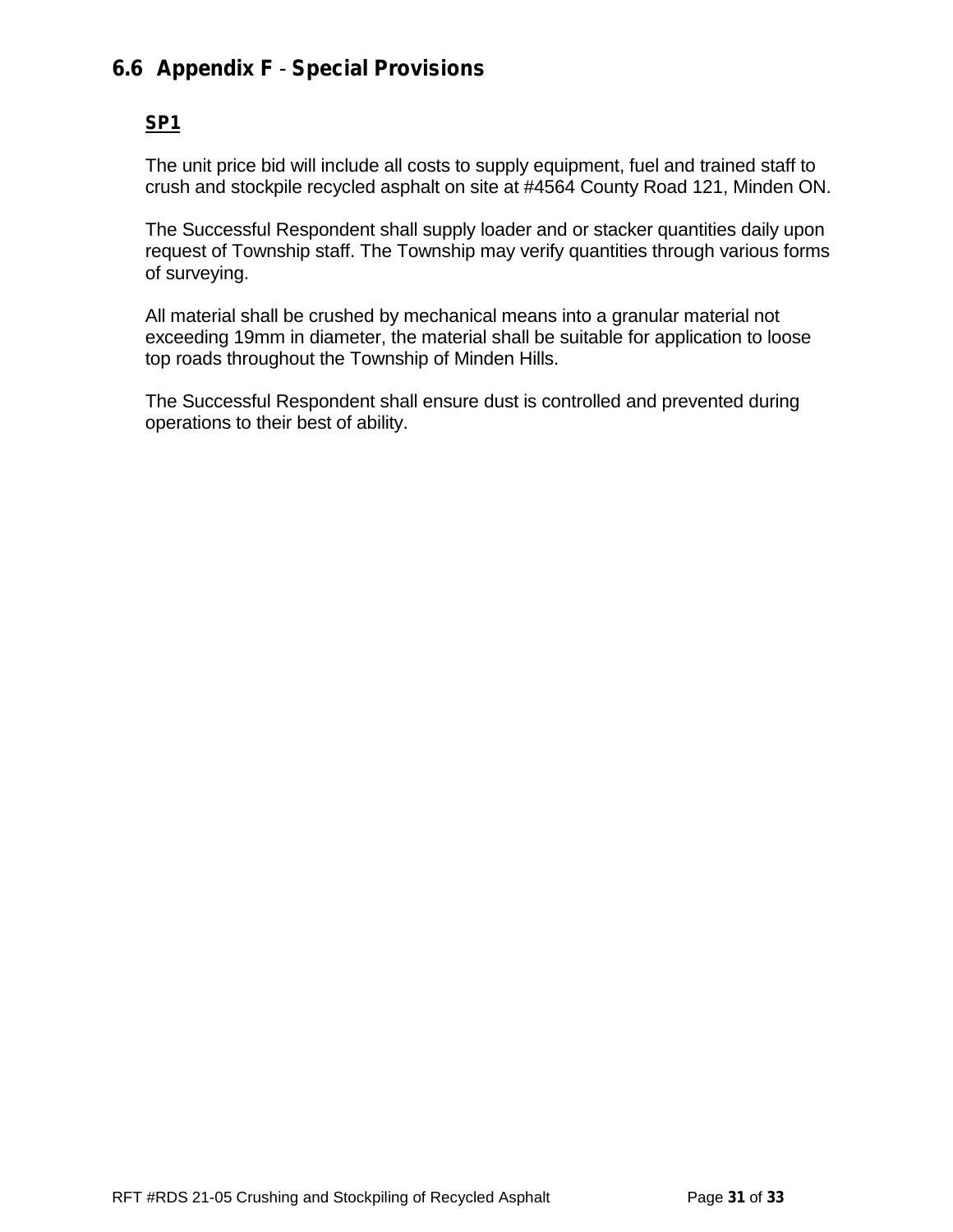### **6.6 Appendix F** - **Special Provisions**

#### **SP1**

The unit price bid will include all costs to supply equipment, fuel and trained staff to crush and stockpile recycled asphalt on site at #4564 County Road 121, Minden ON.

The Successful Respondent shall supply loader and or stacker quantities daily upon request of Township staff. The Township may verify quantities through various forms of surveying.

All material shall be crushed by mechanical means into a granular material not exceeding 19mm in diameter, the material shall be suitable for application to loose top roads throughout the Township of Minden Hills.

The Successful Respondent shall ensure dust is controlled and prevented during operations to their best of ability.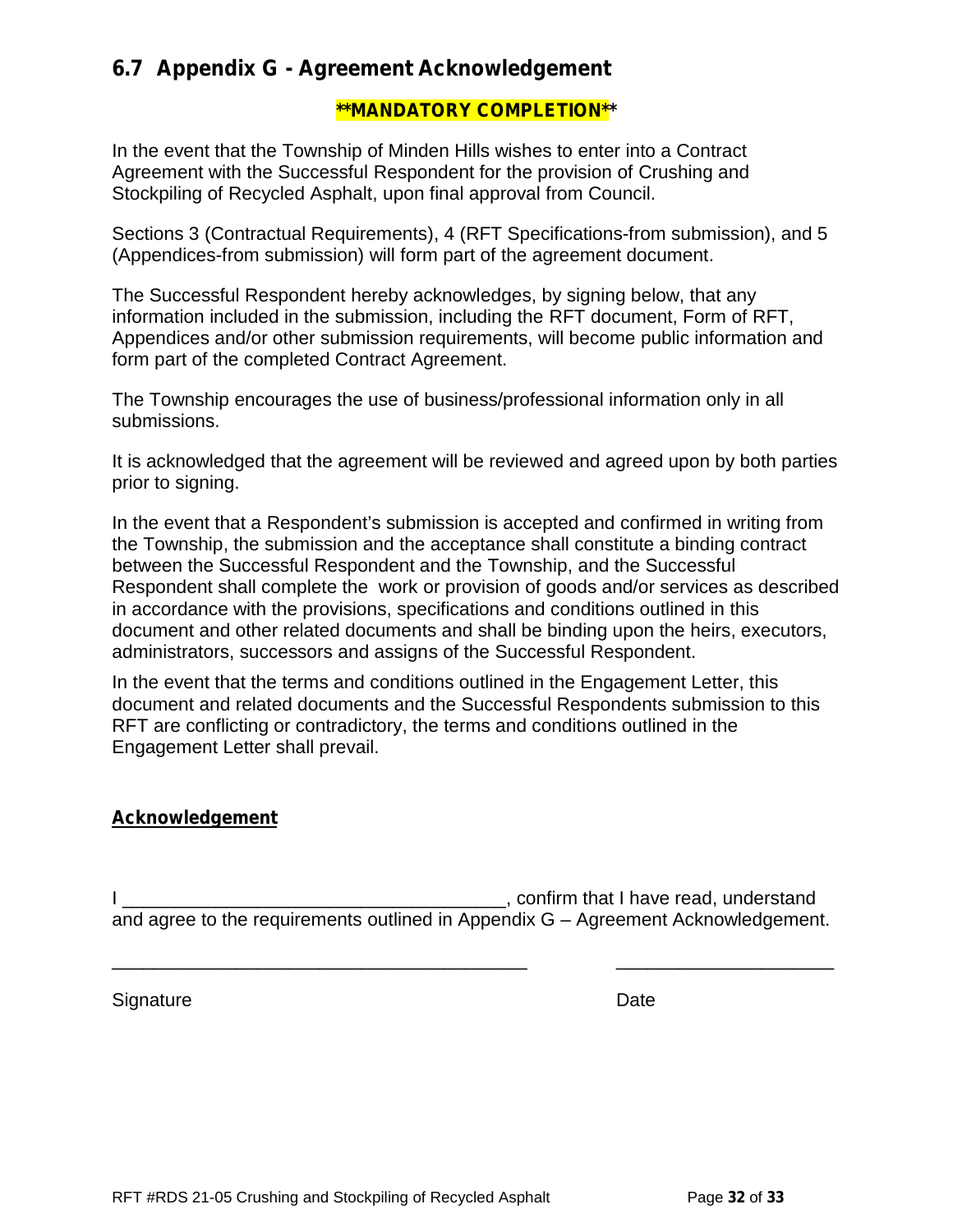### **6.7 Appendix G -Agreement Acknowledgement**

#### **\*\*MANDATORY COMPLETION\*\***

In the event that the Township of Minden Hills wishes to enter into a Contract Agreement with the Successful Respondent for the provision of Crushing and Stockpiling of Recycled Asphalt, upon final approval from Council.

Sections 3 (Contractual Requirements), 4 (RFT Specifications-from submission), and 5 (Appendices-from submission) will form part of the agreement document.

The Successful Respondent hereby acknowledges, by signing below, that any information included in the submission, including the RFT document, Form of RFT, Appendices and/or other submission requirements, will become public information and form part of the completed Contract Agreement.

The Township encourages the use of business/professional information only in all submissions.

It is acknowledged that the agreement will be reviewed and agreed upon by both parties prior to signing.

In the event that a Respondent's submission is accepted and confirmed in writing from the Township, the submission and the acceptance shall constitute a binding contract between the Successful Respondent and the Township, and the Successful Respondent shall complete the work or provision of goods and/or services as described in accordance with the provisions, specifications and conditions outlined in this document and other related documents and shall be binding upon the heirs, executors, administrators, successors and assigns of the Successful Respondent.

In the event that the terms and conditions outlined in the Engagement Letter, this document and related documents and the Successful Respondents submission to this RFT are conflicting or contradictory, the terms and conditions outlined in the Engagement Letter shall prevail.

#### **Acknowledgement**

I \_\_\_\_\_\_\_\_\_\_\_\_\_\_\_\_\_\_\_\_\_\_\_\_\_\_\_\_\_\_\_\_\_\_\_\_\_, confirm that I have read, understand and agree to the requirements outlined in Appendix G – Agreement Acknowledgement.

\_\_\_\_\_\_\_\_\_\_\_\_\_\_\_\_\_\_\_\_\_\_\_\_\_\_\_\_\_\_\_\_\_\_\_\_\_\_\_\_ \_\_\_\_\_\_\_\_\_\_\_\_\_\_\_\_\_\_\_\_\_

Signature Date **Date**